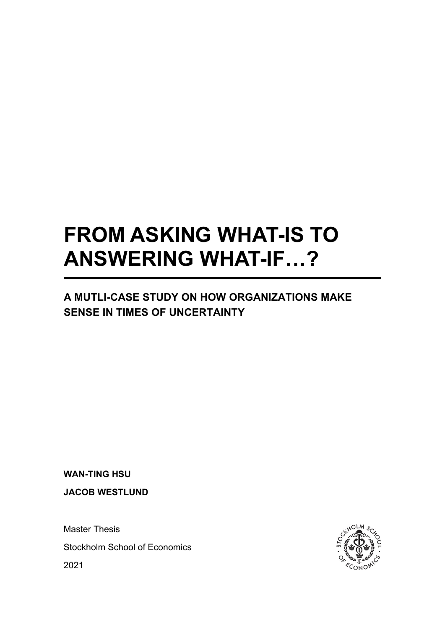# **FROM ASKING WHAT-IS TO ANSWERING WHAT-IF…?**

# **A MUTLI-CASE STUDY ON HOW ORGANIZATIONS MAKE SENSE IN TIMES OF UNCERTAINTY**

**WAN-TING HSU**

**JACOB WESTLUND**

Master Thesis

Stockholm School of Economics

2021

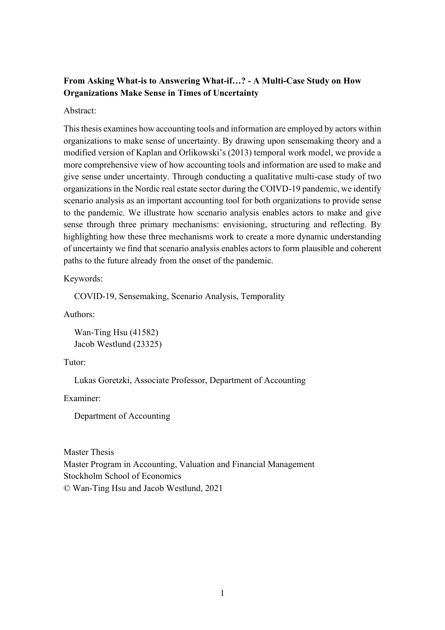#### **From Asking What-is to Answering What-if…? - A Multi-Case Study on How Organizations Make Sense in Times of Uncertainty**

Abstract:

This thesis examines how accounting tools and information are employed by actors within organizations to make sense of uncertainty. By drawing upon sensemaking theory and a modified version of Kaplan and Orlikowski's (2013) temporal work model, we provide a more comprehensive view of how accounting tools and information are used to make and give sense under uncertainty. Through conducting a qualitative multi-case study of two organizations in the Nordic real estate sector during the COIVD-19 pandemic, we identify scenario analysis as an important accounting tool for both organizations to provide sense to the pandemic. We illustrate how scenario analysis enables actors to make and give sense through three primary mechanisms: envisioning, structuring and reflecting. By highlighting how these three mechanisms work to create a more dynamic understanding of uncertainty we find that scenario analysis enables actors to form plausible and coherent paths to the future already from the onset of the pandemic.

Keywords:

COVID-19, Sensemaking, Scenario Analysis, Temporality

Authors:

Wan-Ting Hsu (41582) Jacob Westlund (23325)

Tutor:

Lukas Goretzki, Associate Professor, Department of Accounting

Examiner:

Department of Accounting

Master Thesis Master Program in Accounting, Valuation and Financial Management Stockholm School of Economics © Wan-Ting Hsu and Jacob Westlund, 2021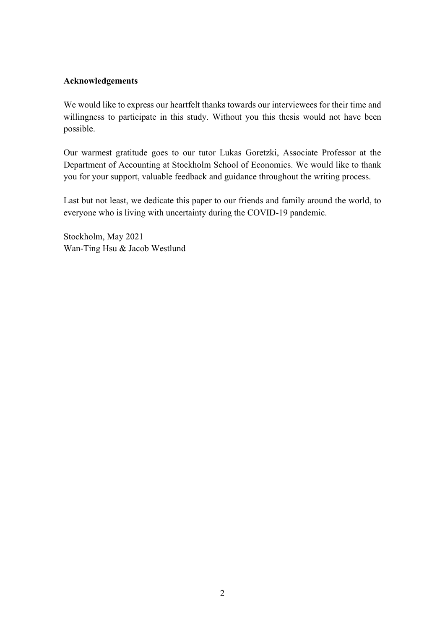#### **Acknowledgements**

We would like to express our heartfelt thanks towards our interviewees for their time and willingness to participate in this study. Without you this thesis would not have been possible.

Our warmest gratitude goes to our tutor Lukas Goretzki, Associate Professor at the Department of Accounting at Stockholm School of Economics. We would like to thank you for your support, valuable feedback and guidance throughout the writing process.

Last but not least, we dedicate this paper to our friends and family around the world, to everyone who is living with uncertainty during the COVID-19 pandemic.

Stockholm, May 2021 Wan-Ting Hsu & Jacob Westlund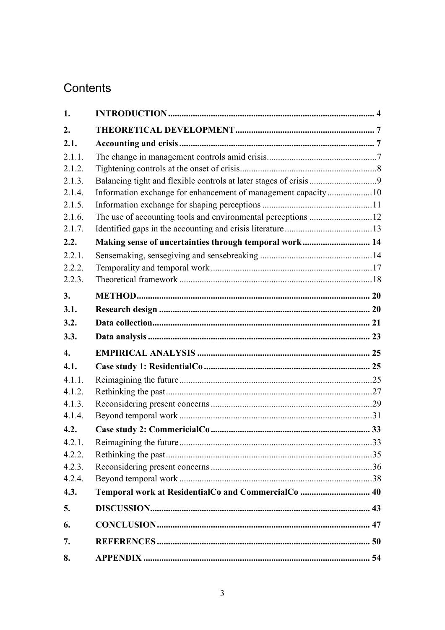# Contents

| 1.               |                                                               |     |
|------------------|---------------------------------------------------------------|-----|
| 2.               |                                                               |     |
| 2.1.             |                                                               |     |
| 2.1.1.           |                                                               |     |
| 2.1.2.           |                                                               |     |
| 2.1.3.           |                                                               |     |
| 2.1.4.           | Information exchange for enhancement of management capacity10 |     |
| 2.1.5.           |                                                               |     |
| 2.1.6.           |                                                               |     |
| 2.1.7.           |                                                               |     |
| 2.2.             | Making sense of uncertainties through temporal work 14        |     |
| 2.2.1.           |                                                               |     |
| 2.2.2.           |                                                               |     |
| 2.2.3.           |                                                               |     |
| 3.               |                                                               |     |
| 3.1.             |                                                               |     |
| 3.2.             |                                                               |     |
| 3.3.             |                                                               |     |
| $\overline{4}$ . |                                                               |     |
| 4.1.             |                                                               |     |
| 4.1.1.           |                                                               |     |
| 4.1.2.           |                                                               |     |
| 4.1.3.           |                                                               |     |
| 4.1.4.           |                                                               |     |
| 4.2.             |                                                               |     |
| 4.2.1.           |                                                               | .33 |
| 4.2.2.           |                                                               |     |
| 4.2.3.           |                                                               |     |
| 4.2.4.           |                                                               |     |
| 4.3.             | Temporal work at ResidentialCo and CommercialCo  40           |     |
| 5.               |                                                               |     |
| 6.               |                                                               |     |
| 7.               |                                                               |     |
| 8.               |                                                               |     |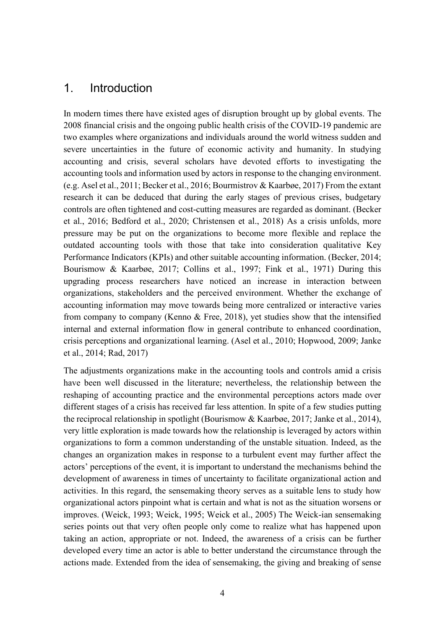# <span id="page-4-0"></span>1. Introduction

In modern times there have existed ages of disruption brought up by global events. The 2008 financial crisis and the ongoing public health crisis of the COVID-19 pandemic are two examples where organizations and individuals around the world witness sudden and severe uncertainties in the future of economic activity and humanity. In studying accounting and crisis, several scholars have devoted efforts to investigating the accounting tools and information used by actors in response to the changing environment. (e.g. Asel et al., 2011; Becker et al., 2016; Bourmistrov & Kaarbøe, 2017) From the extant research it can be deduced that during the early stages of previous crises, budgetary controls are often tightened and cost-cutting measures are regarded as dominant. (Becker et al., 2016; Bedford et al., 2020; Christensen et al., 2018) As a crisis unfolds, more pressure may be put on the organizations to become more flexible and replace the outdated accounting tools with those that take into consideration qualitative Key Performance Indicators (KPIs) and other suitable accounting information. (Becker, 2014; Bourismow & Kaarbøe, 2017; Collins et al., 1997; Fink et al., 1971) During this upgrading process researchers have noticed an increase in interaction between organizations, stakeholders and the perceived environment. Whether the exchange of accounting information may move towards being more centralized or interactive varies from company to company (Kenno & Free, 2018), yet studies show that the intensified internal and external information flow in general contribute to enhanced coordination, crisis perceptions and organizational learning. (Asel et al., 2010; Hopwood, 2009; Janke et al., 2014; Rad, 2017)

The adjustments organizations make in the accounting tools and controls amid a crisis have been well discussed in the literature; nevertheless, the relationship between the reshaping of accounting practice and the environmental perceptions actors made over different stages of a crisis has received far less attention. In spite of a few studies putting the reciprocal relationship in spotlight (Bourismow & Kaarbøe, 2017; Janke et al., 2014), very little exploration is made towards how the relationship is leveraged by actors within organizations to form a common understanding of the unstable situation. Indeed, as the changes an organization makes in response to a turbulent event may further affect the actors' perceptions of the event, it is important to understand the mechanisms behind the development of awareness in times of uncertainty to facilitate organizational action and activities. In this regard, the sensemaking theory serves as a suitable lens to study how organizational actors pinpoint what is certain and what is not as the situation worsens or improves. (Weick, 1993; Weick, 1995; Weick et al., 2005) The Weick-ian sensemaking series points out that very often people only come to realize what has happened upon taking an action, appropriate or not. Indeed, the awareness of a crisis can be further developed every time an actor is able to better understand the circumstance through the actions made. Extended from the idea of sensemaking, the giving and breaking of sense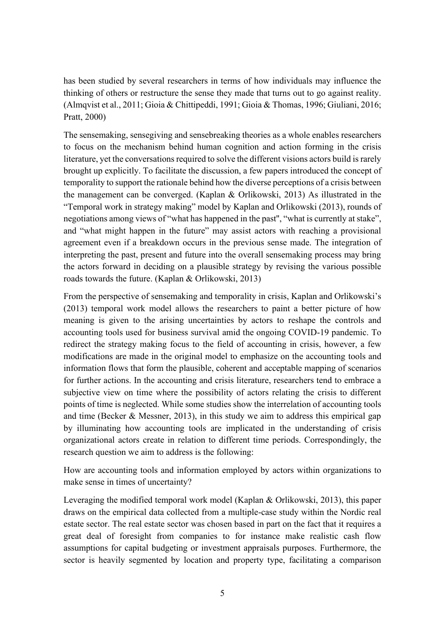has been studied by several researchers in terms of how individuals may influence the thinking of others or restructure the sense they made that turns out to go against reality. (Almqvist et al., 2011; Gioia & Chittipeddi, 1991; Gioia & Thomas, 1996; Giuliani, 2016; Pratt, 2000)

The sensemaking, sensegiving and sensebreaking theories as a whole enables researchers to focus on the mechanism behind human cognition and action forming in the crisis literature, yet the conversations required to solve the different visions actors build is rarely brought up explicitly. To facilitate the discussion, a few papers introduced the concept of temporality to support the rationale behind how the diverse perceptions of a crisis between the management can be converged. (Kaplan & Orlikowski, 2013) As illustrated in the "Temporal work in strategy making" model by Kaplan and Orlikowski (2013), rounds of negotiations among views of "what has happened in the past'', "what is currently at stake", and "what might happen in the future" may assist actors with reaching a provisional agreement even if a breakdown occurs in the previous sense made. The integration of interpreting the past, present and future into the overall sensemaking process may bring the actors forward in deciding on a plausible strategy by revising the various possible roads towards the future. (Kaplan & Orlikowski, 2013)

From the perspective of sensemaking and temporality in crisis, Kaplan and Orlikowski's (2013) temporal work model allows the researchers to paint a better picture of how meaning is given to the arising uncertainties by actors to reshape the controls and accounting tools used for business survival amid the ongoing COVID-19 pandemic. To redirect the strategy making focus to the field of accounting in crisis, however, a few modifications are made in the original model to emphasize on the accounting tools and information flows that form the plausible, coherent and acceptable mapping of scenarios for further actions. In the accounting and crisis literature, researchers tend to embrace a subjective view on time where the possibility of actors relating the crisis to different points of time is neglected. While some studies show the interrelation of accounting tools and time (Becker & Messner, 2013), in this study we aim to address this empirical gap by illuminating how accounting tools are implicated in the understanding of crisis organizational actors create in relation to different time periods. Correspondingly, the research question we aim to address is the following:

How are accounting tools and information employed by actors within organizations to make sense in times of uncertainty?

Leveraging the modified temporal work model (Kaplan & Orlikowski, 2013), this paper draws on the empirical data collected from a multiple-case study within the Nordic real estate sector. The real estate sector was chosen based in part on the fact that it requires a great deal of foresight from companies to for instance make realistic cash flow assumptions for capital budgeting or investment appraisals purposes. Furthermore, the sector is heavily segmented by location and property type, facilitating a comparison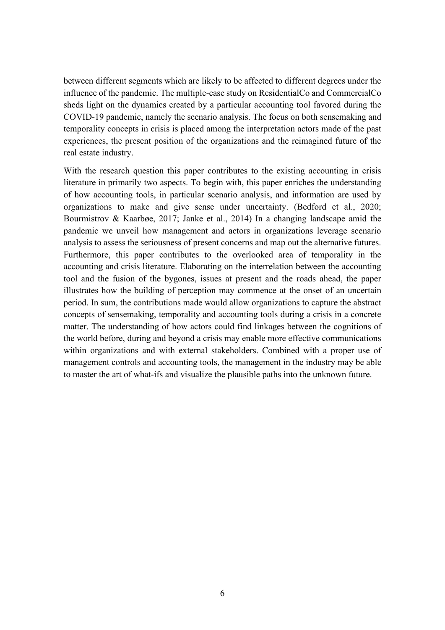between different segments which are likely to be affected to different degrees under the influence of the pandemic. The multiple-case study on ResidentialCo and CommercialCo sheds light on the dynamics created by a particular accounting tool favored during the COVID-19 pandemic, namely the scenario analysis. The focus on both sensemaking and temporality concepts in crisis is placed among the interpretation actors made of the past experiences, the present position of the organizations and the reimagined future of the real estate industry.

With the research question this paper contributes to the existing accounting in crisis literature in primarily two aspects. To begin with, this paper enriches the understanding of how accounting tools, in particular scenario analysis, and information are used by organizations to make and give sense under uncertainty. (Bedford et al., 2020; Bourmistrov & Kaarbøe, 2017; Janke et al., 2014) In a changing landscape amid the pandemic we unveil how management and actors in organizations leverage scenario analysis to assess the seriousness of present concerns and map out the alternative futures. Furthermore, this paper contributes to the overlooked area of temporality in the accounting and crisis literature. Elaborating on the interrelation between the accounting tool and the fusion of the bygones, issues at present and the roads ahead, the paper illustrates how the building of perception may commence at the onset of an uncertain period. In sum, the contributions made would allow organizations to capture the abstract concepts of sensemaking, temporality and accounting tools during a crisis in a concrete matter. The understanding of how actors could find linkages between the cognitions of the world before, during and beyond a crisis may enable more effective communications within organizations and with external stakeholders. Combined with a proper use of management controls and accounting tools, the management in the industry may be able to master the art of what-ifs and visualize the plausible paths into the unknown future.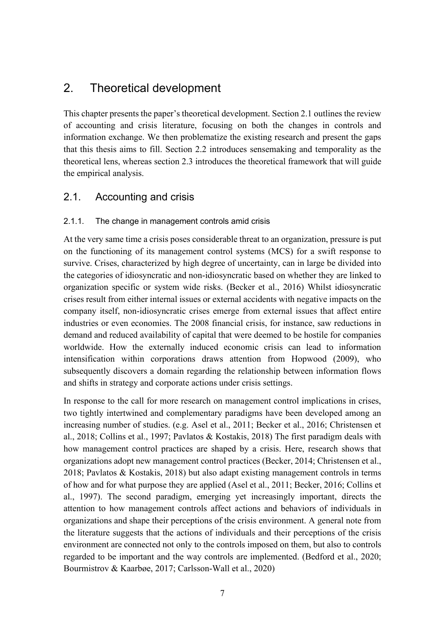# <span id="page-7-0"></span>2. Theoretical development

This chapter presents the paper's theoretical development. Section 2.1 outlines the review of accounting and crisis literature, focusing on both the changes in controls and information exchange. We then problematize the existing research and present the gaps that this thesis aims to fill. Section 2.2 introduces sensemaking and temporality as the theoretical lens, whereas section 2.3 introduces the theoretical framework that will guide the empirical analysis.

# <span id="page-7-1"></span>2.1. Accounting and crisis

#### <span id="page-7-2"></span>2.1.1. The change in management controls amid crisis

At the very same time a crisis poses considerable threat to an organization, pressure is put on the functioning of its management control systems (MCS) for a swift response to survive. Crises, characterized by high degree of uncertainty, can in large be divided into the categories of idiosyncratic and non-idiosyncratic based on whether they are linked to organization specific or system wide risks. (Becker et al., 2016) Whilst idiosyncratic crises result from either internal issues or external accidents with negative impacts on the company itself, non-idiosyncratic crises emerge from external issues that affect entire industries or even economies. The 2008 financial crisis, for instance, saw reductions in demand and reduced availability of capital that were deemed to be hostile for companies worldwide. How the externally induced economic crisis can lead to information intensification within corporations draws attention from Hopwood (2009), who subsequently discovers a domain regarding the relationship between information flows and shifts in strategy and corporate actions under crisis settings.

In response to the call for more research on management control implications in crises, two tightly intertwined and complementary paradigms have been developed among an increasing number of studies. (e.g. Asel et al., 2011; Becker et al., 2016; Christensen et al., 2018; Collins et al., 1997; Pavlatos & Kostakis, 2018) The first paradigm deals with how management control practices are shaped by a crisis. Here, research shows that organizations adopt new management control practices (Becker, 2014; Christensen et al., 2018; Pavlatos & Kostakis, 2018) but also adapt existing management controls in terms of how and for what purpose they are applied (Asel et al., 2011; Becker, 2016; Collins et al., 1997). The second paradigm, emerging yet increasingly important, directs the attention to how management controls affect actions and behaviors of individuals in organizations and shape their perceptions of the crisis environment. A general note from the literature suggests that the actions of individuals and their perceptions of the crisis environment are connected not only to the controls imposed on them, but also to controls regarded to be important and the way controls are implemented. (Bedford et al., 2020; Bourmistrov & Kaarbøe, 2017; Carlsson-Wall et al., 2020)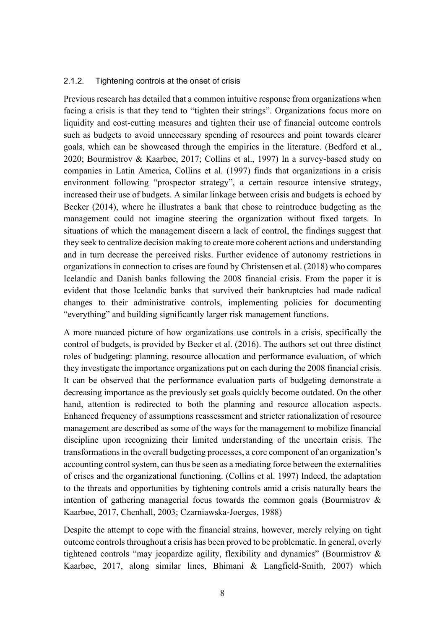#### <span id="page-8-0"></span>2.1.2. Tightening controls at the onset of crisis

Previous research has detailed that a common intuitive response from organizations when facing a crisis is that they tend to "tighten their strings". Organizations focus more on liquidity and cost-cutting measures and tighten their use of financial outcome controls such as budgets to avoid unnecessary spending of resources and point towards clearer goals, which can be showcased through the empirics in the literature. (Bedford et al., 2020; Bourmistrov & Kaarbøe, 2017; Collins et al., 1997) In a survey-based study on companies in Latin America, Collins et al. (1997) finds that organizations in a crisis environment following "prospector strategy", a certain resource intensive strategy, increased their use of budgets. A similar linkage between crisis and budgets is echoed by Becker (2014), where he illustrates a bank that chose to reintroduce budgeting as the management could not imagine steering the organization without fixed targets. In situations of which the management discern a lack of control, the findings suggest that they seek to centralize decision making to create more coherent actions and understanding and in turn decrease the perceived risks. Further evidence of autonomy restrictions in organizations in connection to crises are found by Christensen et al. (2018) who compares Icelandic and Danish banks following the 2008 financial crisis. From the paper it is evident that those Icelandic banks that survived their bankruptcies had made radical changes to their administrative controls, implementing policies for documenting "everything" and building significantly larger risk management functions.

A more nuanced picture of how organizations use controls in a crisis, specifically the control of budgets, is provided by Becker et al. (2016). The authors set out three distinct roles of budgeting: planning, resource allocation and performance evaluation, of which they investigate the importance organizations put on each during the 2008 financial crisis. It can be observed that the performance evaluation parts of budgeting demonstrate a decreasing importance as the previously set goals quickly become outdated. On the other hand, attention is redirected to both the planning and resource allocation aspects. Enhanced frequency of assumptions reassessment and stricter rationalization of resource management are described as some of the ways for the management to mobilize financial discipline upon recognizing their limited understanding of the uncertain crisis. The transformations in the overall budgeting processes, a core component of an organization's accounting control system, can thus be seen as a mediating force between the externalities of crises and the organizational functioning. (Collins et al. 1997) Indeed, the adaptation to the threats and opportunities by tightening controls amid a crisis naturally bears the intention of gathering managerial focus towards the common goals (Bourmistrov & Kaarbøe, 2017, Chenhall, 2003; Czarniawska-Joerges, 1988)

Despite the attempt to cope with the financial strains, however, merely relying on tight outcome controls throughout a crisis has been proved to be problematic. In general, overly tightened controls "may jeopardize agility, flexibility and dynamics" (Bourmistrov & Kaarbøe, 2017, along similar lines, Bhimani & Langfield-Smith, 2007) which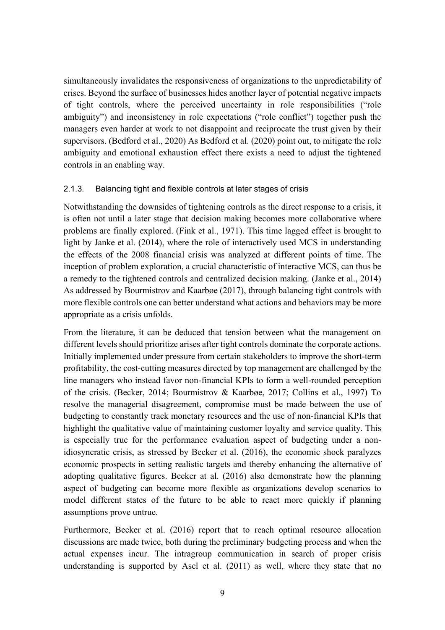simultaneously invalidates the responsiveness of organizations to the unpredictability of crises. Beyond the surface of businesses hides another layer of potential negative impacts of tight controls, where the perceived uncertainty in role responsibilities ("role ambiguity") and inconsistency in role expectations ("role conflict") together push the managers even harder at work to not disappoint and reciprocate the trust given by their supervisors. (Bedford et al., 2020) As Bedford et al. (2020) point out, to mitigate the role ambiguity and emotional exhaustion effect there exists a need to adjust the tightened controls in an enabling way.

#### <span id="page-9-0"></span>2.1.3. Balancing tight and flexible controls at later stages of crisis

Notwithstanding the downsides of tightening controls as the direct response to a crisis, it is often not until a later stage that decision making becomes more collaborative where problems are finally explored. (Fink et al., 1971). This time lagged effect is brought to light by Janke et al. (2014), where the role of interactively used MCS in understanding the effects of the 2008 financial crisis was analyzed at different points of time. The inception of problem exploration, a crucial characteristic of interactive MCS, can thus be a remedy to the tightened controls and centralized decision making. (Janke et al., 2014) As addressed by Bourmistrov and Kaarbøe (2017), through balancing tight controls with more flexible controls one can better understand what actions and behaviors may be more appropriate as a crisis unfolds.

From the literature, it can be deduced that tension between what the management on different levels should prioritize arises after tight controls dominate the corporate actions. Initially implemented under pressure from certain stakeholders to improve the short-term profitability, the cost-cutting measures directed by top management are challenged by the line managers who instead favor non-financial KPIs to form a well-rounded perception of the crisis. (Becker, 2014; Bourmistrov & Kaarbøe, 2017; Collins et al., 1997) To resolve the managerial disagreement, compromise must be made between the use of budgeting to constantly track monetary resources and the use of non-financial KPIs that highlight the qualitative value of maintaining customer loyalty and service quality. This is especially true for the performance evaluation aspect of budgeting under a nonidiosyncratic crisis, as stressed by Becker et al. (2016), the economic shock paralyzes economic prospects in setting realistic targets and thereby enhancing the alternative of adopting qualitative figures. Becker at al. (2016) also demonstrate how the planning aspect of budgeting can become more flexible as organizations develop scenarios to model different states of the future to be able to react more quickly if planning assumptions prove untrue.

Furthermore, Becker et al. (2016) report that to reach optimal resource allocation discussions are made twice, both during the preliminary budgeting process and when the actual expenses incur. The intragroup communication in search of proper crisis understanding is supported by Asel et al. (2011) as well, where they state that no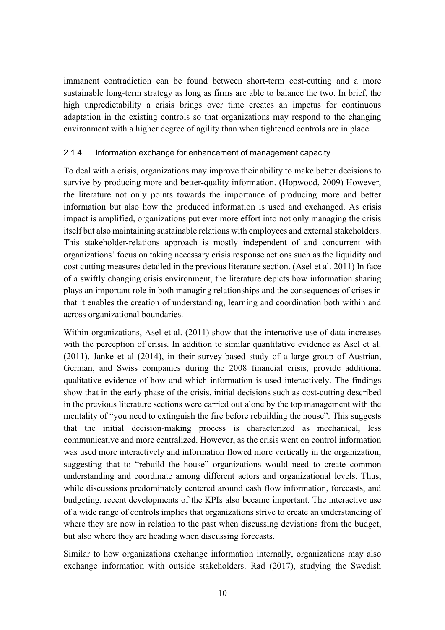immanent contradiction can be found between short-term cost-cutting and a more sustainable long-term strategy as long as firms are able to balance the two. In brief, the high unpredictability a crisis brings over time creates an impetus for continuous adaptation in the existing controls so that organizations may respond to the changing environment with a higher degree of agility than when tightened controls are in place.

#### <span id="page-10-0"></span>2.1.4. Information exchange for enhancement of management capacity

To deal with a crisis, organizations may improve their ability to make better decisions to survive by producing more and better-quality information. (Hopwood, 2009) However, the literature not only points towards the importance of producing more and better information but also how the produced information is used and exchanged. As crisis impact is amplified, organizations put ever more effort into not only managing the crisis itself but also maintaining sustainable relations with employees and external stakeholders. This stakeholder-relations approach is mostly independent of and concurrent with organizations' focus on taking necessary crisis response actions such as the liquidity and cost cutting measures detailed in the previous literature section. (Asel et al. 2011) In face of a swiftly changing crisis environment, the literature depicts how information sharing plays an important role in both managing relationships and the consequences of crises in that it enables the creation of understanding, learning and coordination both within and across organizational boundaries.

Within organizations, Asel et al. (2011) show that the interactive use of data increases with the perception of crisis. In addition to similar quantitative evidence as Asel et al. (2011), Janke et al (2014), in their survey-based study of a large group of Austrian, German, and Swiss companies during the 2008 financial crisis, provide additional qualitative evidence of how and which information is used interactively. The findings show that in the early phase of the crisis, initial decisions such as cost-cutting described in the previous literature sections were carried out alone by the top management with the mentality of "you need to extinguish the fire before rebuilding the house". This suggests that the initial decision-making process is characterized as mechanical, less communicative and more centralized. However, as the crisis went on control information was used more interactively and information flowed more vertically in the organization, suggesting that to "rebuild the house" organizations would need to create common understanding and coordinate among different actors and organizational levels. Thus, while discussions predominately centered around cash flow information, forecasts, and budgeting, recent developments of the KPIs also became important. The interactive use of a wide range of controls implies that organizations strive to create an understanding of where they are now in relation to the past when discussing deviations from the budget, but also where they are heading when discussing forecasts.

Similar to how organizations exchange information internally, organizations may also exchange information with outside stakeholders. Rad (2017), studying the Swedish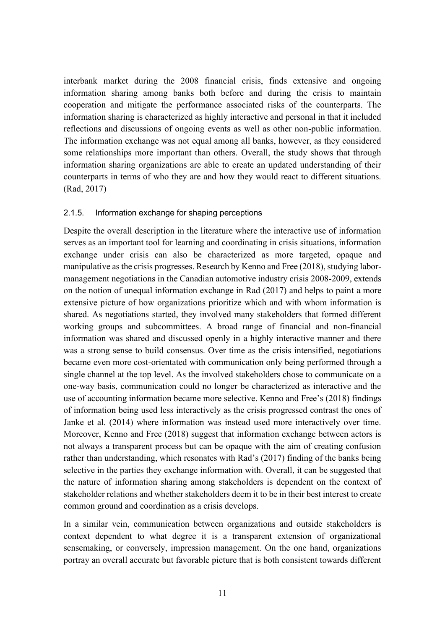interbank market during the 2008 financial crisis, finds extensive and ongoing information sharing among banks both before and during the crisis to maintain cooperation and mitigate the performance associated risks of the counterparts. The information sharing is characterized as highly interactive and personal in that it included reflections and discussions of ongoing events as well as other non-public information. The information exchange was not equal among all banks, however, as they considered some relationships more important than others. Overall, the study shows that through information sharing organizations are able to create an updated understanding of their counterparts in terms of who they are and how they would react to different situations. (Rad, 2017)

#### <span id="page-11-0"></span>2.1.5. Information exchange for shaping perceptions

Despite the overall description in the literature where the interactive use of information serves as an important tool for learning and coordinating in crisis situations, information exchange under crisis can also be characterized as more targeted, opaque and manipulative as the crisis progresses. Research by Kenno and Free (2018), studying labormanagement negotiations in the Canadian automotive industry crisis 2008-2009, extends on the notion of unequal information exchange in Rad (2017) and helps to paint a more extensive picture of how organizations prioritize which and with whom information is shared. As negotiations started, they involved many stakeholders that formed different working groups and subcommittees. A broad range of financial and non-financial information was shared and discussed openly in a highly interactive manner and there was a strong sense to build consensus. Over time as the crisis intensified, negotiations became even more cost-orientated with communication only being performed through a single channel at the top level. As the involved stakeholders chose to communicate on a one-way basis, communication could no longer be characterized as interactive and the use of accounting information became more selective. Kenno and Free's (2018) findings of information being used less interactively as the crisis progressed contrast the ones of Janke et al. (2014) where information was instead used more interactively over time. Moreover, Kenno and Free (2018) suggest that information exchange between actors is not always a transparent process but can be opaque with the aim of creating confusion rather than understanding, which resonates with Rad's (2017) finding of the banks being selective in the parties they exchange information with. Overall, it can be suggested that the nature of information sharing among stakeholders is dependent on the context of stakeholder relations and whether stakeholders deem it to be in their best interest to create common ground and coordination as a crisis develops.

In a similar vein, communication between organizations and outside stakeholders is context dependent to what degree it is a transparent extension of organizational sensemaking, or conversely, impression management. On the one hand, organizations portray an overall accurate but favorable picture that is both consistent towards different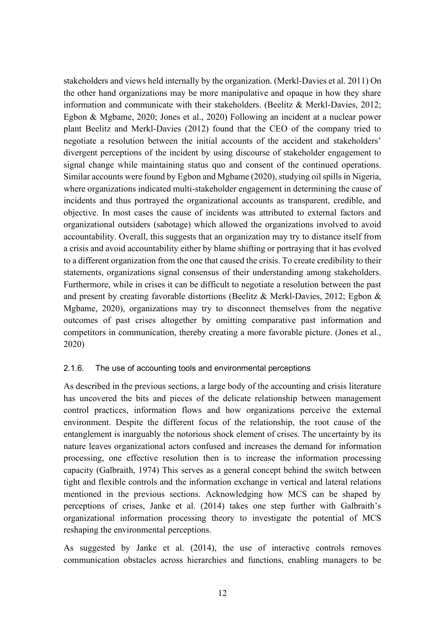stakeholders and views held internally by the organization. (Merkl‐Davies et al. 2011) On the other hand organizations may be more manipulative and opaque in how they share information and communicate with their stakeholders. (Beelitz & Merkl-Davies, 2012; Egbon & Mgbame, 2020; Jones et al., 2020) Following an incident at a nuclear power plant Beelitz and Merkl-Davies (2012) found that the CEO of the company tried to negotiate a resolution between the initial accounts of the accident and stakeholders' divergent perceptions of the incident by using discourse of stakeholder engagement to signal change while maintaining status quo and consent of the continued operations. Similar accounts were found by Egbon and Mgbame (2020), studying oil spills in Nigeria, where organizations indicated multi-stakeholder engagement in determining the cause of incidents and thus portrayed the organizational accounts as transparent, credible, and objective. In most cases the cause of incidents was attributed to external factors and organizational outsiders (sabotage) which allowed the organizations involved to avoid accountability. Overall, this suggests that an organization may try to distance itself from a crisis and avoid accountability either by blame shifting or portraying that it has evolved to a different organization from the one that caused the crisis. To create credibility to their statements, organizations signal consensus of their understanding among stakeholders. Furthermore, while in crises it can be difficult to negotiate a resolution between the past and present by creating favorable distortions (Beelitz & Merkl-Davies, 2012; Egbon & Mgbame, 2020), organizations may try to disconnect themselves from the negative outcomes of past crises altogether by omitting comparative past information and competitors in communication, thereby creating a more favorable picture. (Jones et al., 2020)

#### <span id="page-12-0"></span>2.1.6. The use of accounting tools and environmental perceptions

As described in the previous sections, a large body of the accounting and crisis literature has uncovered the bits and pieces of the delicate relationship between management control practices, information flows and how organizations perceive the external environment. Despite the different focus of the relationship, the root cause of the entanglement is inarguably the notorious shock element of crises. The uncertainty by its nature leaves organizational actors confused and increases the demand for information processing, one effective resolution then is to increase the information processing capacity (Galbraith, 1974) This serves as a general concept behind the switch between tight and flexible controls and the information exchange in vertical and lateral relations mentioned in the previous sections. Acknowledging how MCS can be shaped by perceptions of crises, Janke et al. (2014) takes one step further with Galbraith's organizational information processing theory to investigate the potential of MCS reshaping the environmental perceptions.

As suggested by Janke et al. (2014), the use of interactive controls removes communication obstacles across hierarchies and functions, enabling managers to be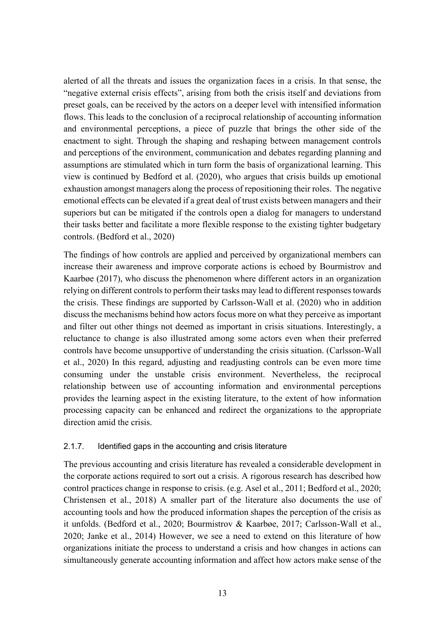alerted of all the threats and issues the organization faces in a crisis. In that sense, the "negative external crisis effects", arising from both the crisis itself and deviations from preset goals, can be received by the actors on a deeper level with intensified information flows. This leads to the conclusion of a reciprocal relationship of accounting information and environmental perceptions, a piece of puzzle that brings the other side of the enactment to sight. Through the shaping and reshaping between management controls and perceptions of the environment, communication and debates regarding planning and assumptions are stimulated which in turn form the basis of organizational learning. This view is continued by Bedford et al. (2020), who argues that crisis builds up emotional exhaustion amongst managers along the process of repositioning their roles. The negative emotional effects can be elevated if a great deal of trust exists between managers and their superiors but can be mitigated if the controls open a dialog for managers to understand their tasks better and facilitate a more flexible response to the existing tighter budgetary controls. (Bedford et al., 2020)

The findings of how controls are applied and perceived by organizational members can increase their awareness and improve corporate actions is echoed by Bourmistrov and Kaarbøe (2017), who discuss the phenomenon where different actors in an organization relying on different controls to perform their tasks may lead to different responses towards the crisis. These findings are supported by Carlsson-Wall et al. (2020) who in addition discuss the mechanisms behind how actors focus more on what they perceive as important and filter out other things not deemed as important in crisis situations. Interestingly, a reluctance to change is also illustrated among some actors even when their preferred controls have become unsupportive of understanding the crisis situation. (Carlsson-Wall et al., 2020) In this regard, adjusting and readjusting controls can be even more time consuming under the unstable crisis environment. Nevertheless, the reciprocal relationship between use of accounting information and environmental perceptions provides the learning aspect in the existing literature, to the extent of how information processing capacity can be enhanced and redirect the organizations to the appropriate direction amid the crisis.

#### <span id="page-13-0"></span>2.1.7. Identified gaps in the accounting and crisis literature

The previous accounting and crisis literature has revealed a considerable development in the corporate actions required to sort out a crisis. A rigorous research has described how control practices change in response to crisis. (e.g. Asel et al., 2011; Bedford et al., 2020; Christensen et al., 2018) A smaller part of the literature also documents the use of accounting tools and how the produced information shapes the perception of the crisis as it unfolds. (Bedford et al., 2020; Bourmistrov & Kaarbøe, 2017; Carlsson-Wall et al., 2020; Janke et al., 2014) However, we see a need to extend on this literature of how organizations initiate the process to understand a crisis and how changes in actions can simultaneously generate accounting information and affect how actors make sense of the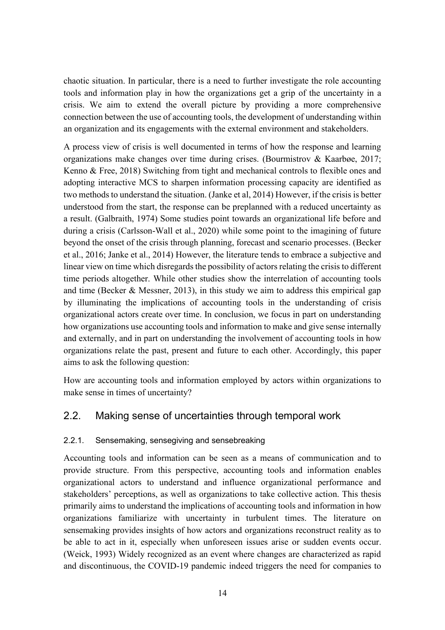chaotic situation. In particular, there is a need to further investigate the role accounting tools and information play in how the organizations get a grip of the uncertainty in a crisis. We aim to extend the overall picture by providing a more comprehensive connection between the use of accounting tools, the development of understanding within an organization and its engagements with the external environment and stakeholders.

A process view of crisis is well documented in terms of how the response and learning organizations make changes over time during crises. (Bourmistrov & Kaarbøe, 2017; Kenno & Free, 2018) Switching from tight and mechanical controls to flexible ones and adopting interactive MCS to sharpen information processing capacity are identified as two methods to understand the situation. (Janke et al, 2014) However, if the crisis is better understood from the start, the response can be preplanned with a reduced uncertainty as a result. (Galbraith, 1974) Some studies point towards an organizational life before and during a crisis (Carlsson-Wall et al., 2020) while some point to the imagining of future beyond the onset of the crisis through planning, forecast and scenario processes. (Becker et al., 2016; Janke et al., 2014) However, the literature tends to embrace a subjective and linear view on time which disregards the possibility of actors relating the crisis to different time periods altogether. While other studies show the interrelation of accounting tools and time (Becker & Messner, 2013), in this study we aim to address this empirical gap by illuminating the implications of accounting tools in the understanding of crisis organizational actors create over time. In conclusion, we focus in part on understanding how organizations use accounting tools and information to make and give sense internally and externally, and in part on understanding the involvement of accounting tools in how organizations relate the past, present and future to each other. Accordingly, this paper aims to ask the following question:

How are accounting tools and information employed by actors within organizations to make sense in times of uncertainty?

# <span id="page-14-0"></span>2.2. Making sense of uncertainties through temporal work

#### <span id="page-14-1"></span>2.2.1. Sensemaking, sensegiving and sensebreaking

Accounting tools and information can be seen as a means of communication and to provide structure. From this perspective, accounting tools and information enables organizational actors to understand and influence organizational performance and stakeholders' perceptions, as well as organizations to take collective action. This thesis primarily aims to understand the implications of accounting tools and information in how organizations familiarize with uncertainty in turbulent times. The literature on sensemaking provides insights of how actors and organizations reconstruct reality as to be able to act in it, especially when unforeseen issues arise or sudden events occur. (Weick, 1993) Widely recognized as an event where changes are characterized as rapid and discontinuous, the COVID-19 pandemic indeed triggers the need for companies to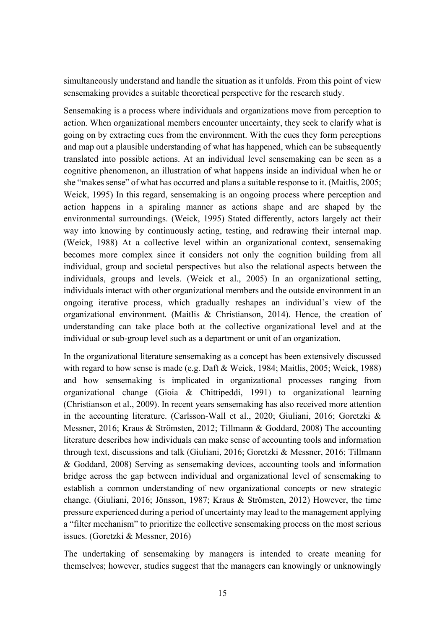simultaneously understand and handle the situation as it unfolds. From this point of view sensemaking provides a suitable theoretical perspective for the research study.

Sensemaking is a process where individuals and organizations move from perception to action. When organizational members encounter uncertainty, they seek to clarify what is going on by extracting cues from the environment. With the cues they form perceptions and map out a plausible understanding of what has happened, which can be subsequently translated into possible actions. At an individual level sensemaking can be seen as a cognitive phenomenon, an illustration of what happens inside an individual when he or she "makes sense" of what has occurred and plans a suitable response to it. (Maitlis, 2005; Weick, 1995) In this regard, sensemaking is an ongoing process where perception and action happens in a spiraling manner as actions shape and are shaped by the environmental surroundings. (Weick, 1995) Stated differently, actors largely act their way into knowing by continuously acting, testing, and redrawing their internal map. (Weick, 1988) At a collective level within an organizational context, sensemaking becomes more complex since it considers not only the cognition building from all individual, group and societal perspectives but also the relational aspects between the individuals, groups and levels. (Weick et al., 2005) In an organizational setting, individuals interact with other organizational members and the outside environment in an ongoing iterative process, which gradually reshapes an individual's view of the organizational environment. (Maitlis & Christianson, 2014). Hence, the creation of understanding can take place both at the collective organizational level and at the individual or sub-group level such as a department or unit of an organization.

In the organizational literature sensemaking as a concept has been extensively discussed with regard to how sense is made (e.g. Daft & Weick, 1984; Maitlis, 2005; Weick, 1988) and how sensemaking is implicated in organizational processes ranging from organizational change (Gioia & Chittipeddi, 1991) to organizational learning (Christianson et al., 2009). In recent years sensemaking has also received more attention in the accounting literature. (Carlsson-Wall et al., 2020; Giuliani, 2016; Goretzki & Messner, 2016; Kraus & Strömsten, 2012; Tillmann & Goddard, 2008) The accounting literature describes how individuals can make sense of accounting tools and information through text, discussions and talk (Giuliani, 2016; Goretzki & Messner, 2016; Tillmann & Goddard, 2008) Serving as sensemaking devices, accounting tools and information bridge across the gap between individual and organizational level of sensemaking to establish a common understanding of new organizational concepts or new strategic change. (Giuliani, 2016; Jönsson, 1987; Kraus & Strömsten, 2012) However, the time pressure experienced during a period of uncertainty may lead to the management applying a "filter mechanism" to prioritize the collective sensemaking process on the most serious issues. (Goretzki & Messner, 2016)

The undertaking of sensemaking by managers is intended to create meaning for themselves; however, studies suggest that the managers can knowingly or unknowingly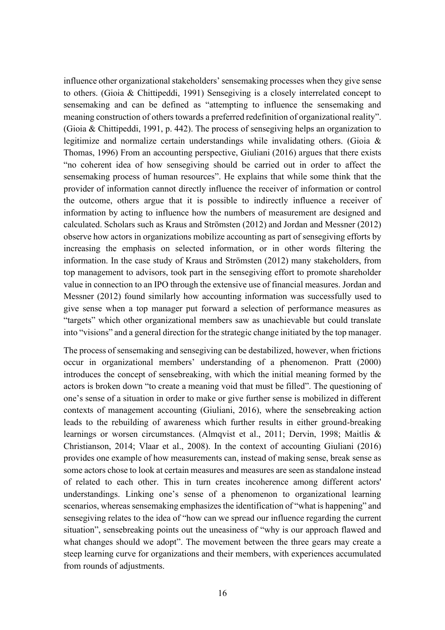influence other organizational stakeholders' sensemaking processes when they give sense to others. (Gioia & Chittipeddi, 1991) Sensegiving is a closely interrelated concept to sensemaking and can be defined as "attempting to influence the sensemaking and meaning construction of others towards a preferred redefinition of organizational reality". (Gioia & Chittipeddi, 1991, p. 442). The process of sensegiving helps an organization to legitimize and normalize certain understandings while invalidating others. (Gioia & Thomas, 1996) From an accounting perspective, Giuliani (2016) argues that there exists "no coherent idea of how sensegiving should be carried out in order to affect the sensemaking process of human resources". He explains that while some think that the provider of information cannot directly influence the receiver of information or control the outcome, others argue that it is possible to indirectly influence a receiver of information by acting to influence how the numbers of measurement are designed and calculated. Scholars such as Kraus and Strömsten (2012) and Jordan and Messner (2012) observe how actors in organizations mobilize accounting as part of sensegiving efforts by increasing the emphasis on selected information, or in other words filtering the information. In the case study of Kraus and Strömsten (2012) many stakeholders, from top management to advisors, took part in the sensegiving effort to promote shareholder value in connection to an IPO through the extensive use of financial measures. Jordan and Messner (2012) found similarly how accounting information was successfully used to give sense when a top manager put forward a selection of performance measures as "targets" which other organizational members saw as unachievable but could translate into "visions" and a general direction for the strategic change initiated by the top manager.

The process of sensemaking and sensegiving can be destabilized, however, when frictions occur in organizational members' understanding of a phenomenon. Pratt (2000) introduces the concept of sensebreaking, with which the initial meaning formed by the actors is broken down "to create a meaning void that must be filled". The questioning of one's sense of a situation in order to make or give further sense is mobilized in different contexts of management accounting (Giuliani, 2016), where the sensebreaking action leads to the rebuilding of awareness which further results in either ground-breaking learnings or worsen circumstances. (Almqvist et al., 2011; Dervin, 1998; Maitlis & Christianson, 2014; Vlaar et al., 2008). In the context of accounting Giuliani (2016) provides one example of how measurements can, instead of making sense, break sense as some actors chose to look at certain measures and measures are seen as standalone instead of related to each other. This in turn creates incoherence among different actors' understandings. Linking one's sense of a phenomenon to organizational learning scenarios, whereas sensemaking emphasizes the identification of "what is happening" and sensegiving relates to the idea of "how can we spread our influence regarding the current situation", sensebreaking points out the uneasiness of "why is our approach flawed and what changes should we adopt". The movement between the three gears may create a steep learning curve for organizations and their members, with experiences accumulated from rounds of adjustments.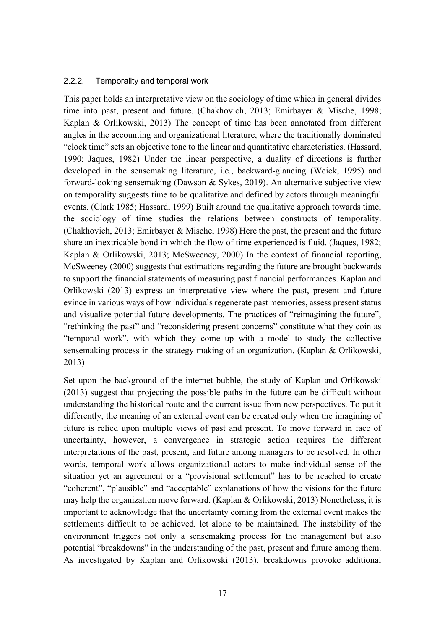#### <span id="page-17-0"></span>2.2.2. Temporality and temporal work

This paper holds an interpretative view on the sociology of time which in general divides time into past, present and future. (Chakhovich, 2013; Emirbayer & Mische, 1998; Kaplan & Orlikowski, 2013) The concept of time has been annotated from different angles in the accounting and organizational literature, where the traditionally dominated "clock time" sets an objective tone to the linear and quantitative characteristics. (Hassard, 1990; Jaques, 1982) Under the linear perspective, a duality of directions is further developed in the sensemaking literature, i.e., backward-glancing (Weick, 1995) and forward-looking sensemaking (Dawson & Sykes, 2019). An alternative subjective view on temporality suggests time to be qualitative and defined by actors through meaningful events. (Clark 1985; Hassard, 1999) Built around the qualitative approach towards time, the sociology of time studies the relations between constructs of temporality. (Chakhovich, 2013; Emirbayer & Mische, 1998) Here the past, the present and the future share an inextricable bond in which the flow of time experienced is fluid. (Jaques, 1982; Kaplan & Orlikowski, 2013; McSweeney, 2000) In the context of financial reporting, McSweeney (2000) suggests that estimations regarding the future are brought backwards to support the financial statements of measuring past financial performances. Kaplan and Orlikowski (2013) express an interpretative view where the past, present and future evince in various ways of how individuals regenerate past memories, assess present status and visualize potential future developments. The practices of "reimagining the future", "rethinking the past" and "reconsidering present concerns" constitute what they coin as "temporal work", with which they come up with a model to study the collective sensemaking process in the strategy making of an organization. (Kaplan & Orlikowski, 2013)

Set upon the background of the internet bubble, the study of Kaplan and Orlikowski (2013) suggest that projecting the possible paths in the future can be difficult without understanding the historical route and the current issue from new perspectives. To put it differently, the meaning of an external event can be created only when the imagining of future is relied upon multiple views of past and present. To move forward in face of uncertainty, however, a convergence in strategic action requires the different interpretations of the past, present, and future among managers to be resolved. In other words, temporal work allows organizational actors to make individual sense of the situation yet an agreement or a "provisional settlement" has to be reached to create "coherent", "plausible" and "acceptable" explanations of how the visions for the future may help the organization move forward. (Kaplan & Orlikowski, 2013) Nonetheless, it is important to acknowledge that the uncertainty coming from the external event makes the settlements difficult to be achieved, let alone to be maintained. The instability of the environment triggers not only a sensemaking process for the management but also potential "breakdowns" in the understanding of the past, present and future among them. As investigated by Kaplan and Orlikowski (2013), breakdowns provoke additional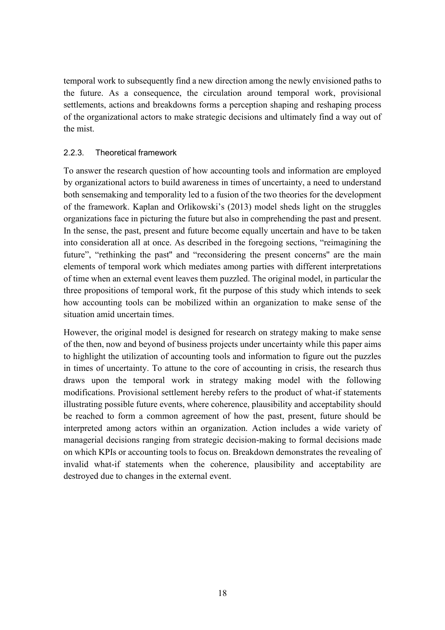temporal work to subsequently find a new direction among the newly envisioned paths to the future. As a consequence, the circulation around temporal work, provisional settlements, actions and breakdowns forms a perception shaping and reshaping process of the organizational actors to make strategic decisions and ultimately find a way out of the mist.

#### <span id="page-18-0"></span>2.2.3. Theoretical framework

To answer the research question of how accounting tools and information are employed by organizational actors to build awareness in times of uncertainty, a need to understand both sensemaking and temporality led to a fusion of the two theories for the development of the framework. Kaplan and Orlikowski's (2013) model sheds light on the struggles organizations face in picturing the future but also in comprehending the past and present. In the sense, the past, present and future become equally uncertain and have to be taken into consideration all at once. As described in the foregoing sections, "reimagining the future", "rethinking the past" and "reconsidering the present concerns" are the main elements of temporal work which mediates among parties with different interpretations of time when an external event leaves them puzzled. The original model, in particular the three propositions of temporal work, fit the purpose of this study which intends to seek how accounting tools can be mobilized within an organization to make sense of the situation amid uncertain times.

However, the original model is designed for research on strategy making to make sense of the then, now and beyond of business projects under uncertainty while this paper aims to highlight the utilization of accounting tools and information to figure out the puzzles in times of uncertainty. To attune to the core of accounting in crisis, the research thus draws upon the temporal work in strategy making model with the following modifications. Provisional settlement hereby refers to the product of what-if statements illustrating possible future events, where coherence, plausibility and acceptability should be reached to form a common agreement of how the past, present, future should be interpreted among actors within an organization. Action includes a wide variety of managerial decisions ranging from strategic decision-making to formal decisions made on which KPIs or accounting tools to focus on. Breakdown demonstrates the revealing of invalid what-if statements when the coherence, plausibility and acceptability are destroyed due to changes in the external event.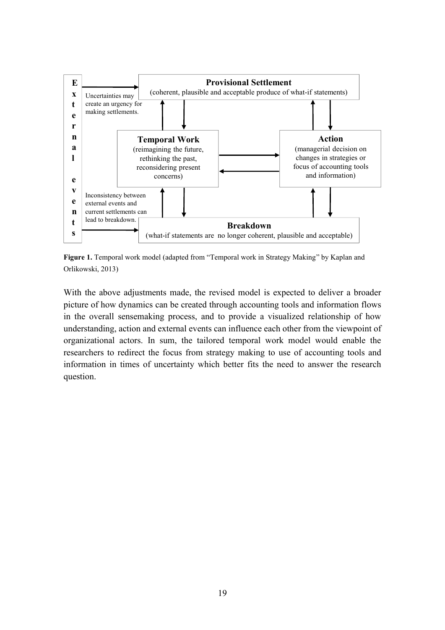

**Figure 1.** Temporal work model (adapted from "Temporal work in Strategy Making" by Kaplan and Orlikowski, 2013)

With the above adjustments made, the revised model is expected to deliver a broader picture of how dynamics can be created through accounting tools and information flows in the overall sensemaking process, and to provide a visualized relationship of how understanding, action and external events can influence each other from the viewpoint of organizational actors. In sum, the tailored temporal work model would enable the researchers to redirect the focus from strategy making to use of accounting tools and information in times of uncertainty which better fits the need to answer the research question.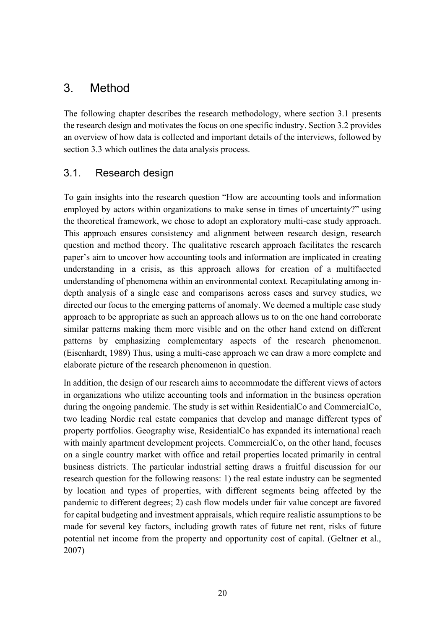# <span id="page-20-0"></span>3. Method

The following chapter describes the research methodology, where section 3.1 presents the research design and motivates the focus on one specific industry. Section 3.2 provides an overview of how data is collected and important details of the interviews, followed by section 3.3 which outlines the data analysis process.

# <span id="page-20-1"></span>3.1. Research design

To gain insights into the research question "How are accounting tools and information employed by actors within organizations to make sense in times of uncertainty?" using the theoretical framework, we chose to adopt an exploratory multi-case study approach. This approach ensures consistency and alignment between research design, research question and method theory. The qualitative research approach facilitates the research paper's aim to uncover how accounting tools and information are implicated in creating understanding in a crisis, as this approach allows for creation of a multifaceted understanding of phenomena within an environmental context. Recapitulating among indepth analysis of a single case and comparisons across cases and survey studies, we directed our focus to the emerging patterns of anomaly. We deemed a multiple case study approach to be appropriate as such an approach allows us to on the one hand corroborate similar patterns making them more visible and on the other hand extend on different patterns by emphasizing complementary aspects of the research phenomenon. (Eisenhardt, 1989) Thus, using a multi-case approach we can draw a more complete and elaborate picture of the research phenomenon in question.

In addition, the design of our research aims to accommodate the different views of actors in organizations who utilize accounting tools and information in the business operation during the ongoing pandemic. The study is set within ResidentialCo and CommercialCo, two leading Nordic real estate companies that develop and manage different types of property portfolios. Geography wise, ResidentialCo has expanded its international reach with mainly apartment development projects. CommercialCo, on the other hand, focuses on a single country market with office and retail properties located primarily in central business districts. The particular industrial setting draws a fruitful discussion for our research question for the following reasons: 1) the real estate industry can be segmented by location and types of properties, with different segments being affected by the pandemic to different degrees; 2) cash flow models under fair value concept are favored for capital budgeting and investment appraisals, which require realistic assumptions to be made for several key factors, including growth rates of future net rent, risks of future potential net income from the property and opportunity cost of capital. (Geltner et al., 2007)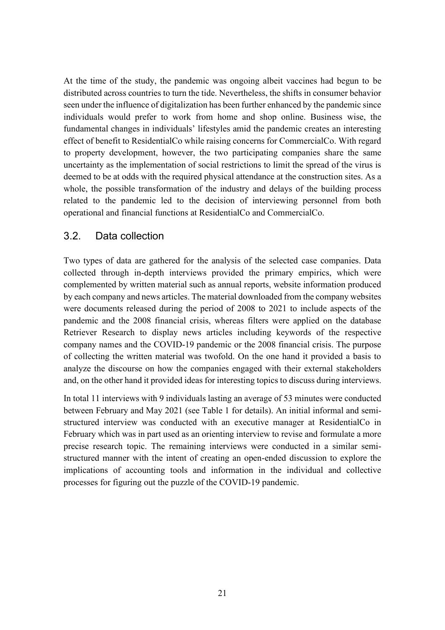At the time of the study, the pandemic was ongoing albeit vaccines had begun to be distributed across countries to turn the tide. Nevertheless, the shifts in consumer behavior seen under the influence of digitalization has been further enhanced by the pandemic since individuals would prefer to work from home and shop online. Business wise, the fundamental changes in individuals' lifestyles amid the pandemic creates an interesting effect of benefit to ResidentialCo while raising concerns for CommercialCo. With regard to property development, however, the two participating companies share the same uncertainty as the implementation of social restrictions to limit the spread of the virus is deemed to be at odds with the required physical attendance at the construction sites. As a whole, the possible transformation of the industry and delays of the building process related to the pandemic led to the decision of interviewing personnel from both operational and financial functions at ResidentialCo and CommercialCo.

### <span id="page-21-0"></span>3.2. Data collection

Two types of data are gathered for the analysis of the selected case companies. Data collected through in-depth interviews provided the primary empirics, which were complemented by written material such as annual reports, website information produced by each company and news articles. The material downloaded from the company websites were documents released during the period of 2008 to 2021 to include aspects of the pandemic and the 2008 financial crisis, whereas filters were applied on the database Retriever Research to display news articles including keywords of the respective company names and the COVID-19 pandemic or the 2008 financial crisis. The purpose of collecting the written material was twofold. On the one hand it provided a basis to analyze the discourse on how the companies engaged with their external stakeholders and, on the other hand it provided ideas for interesting topics to discuss during interviews.

In total 11 interviews with 9 individuals lasting an average of 53 minutes were conducted between February and May 2021 (see Table 1 for details). An initial informal and semistructured interview was conducted with an executive manager at ResidentialCo in February which was in part used as an orienting interview to revise and formulate a more precise research topic. The remaining interviews were conducted in a similar semistructured manner with the intent of creating an open-ended discussion to explore the implications of accounting tools and information in the individual and collective processes for figuring out the puzzle of the COVID-19 pandemic.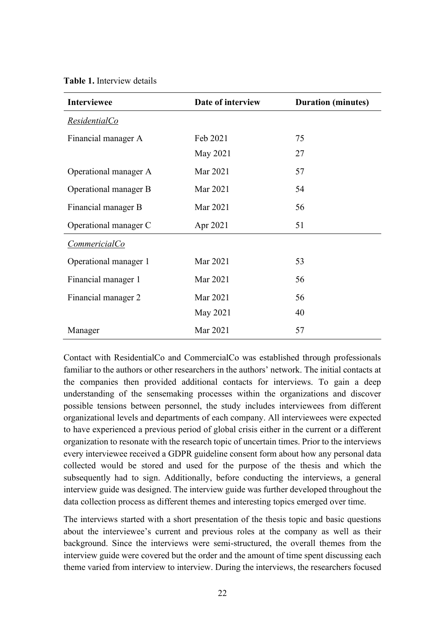**Table 1.** Interview details

| <b>Interviewee</b>    | Date of interview | <b>Duration (minutes)</b> |  |  |
|-----------------------|-------------------|---------------------------|--|--|
| ResidentialCo         |                   |                           |  |  |
| Financial manager A   | Feb 2021          | 75                        |  |  |
|                       | May 2021          | 27                        |  |  |
| Operational manager A | Mar 2021          | 57                        |  |  |
| Operational manager B | Mar 2021          | 54                        |  |  |
| Financial manager B   | Mar 2021          | 56                        |  |  |
| Operational manager C | Apr 2021          | 51                        |  |  |
| CommericialCo         |                   |                           |  |  |
| Operational manager 1 | Mar 2021          | 53                        |  |  |
| Financial manager 1   | Mar 2021          | 56                        |  |  |
| Financial manager 2   | Mar 2021          | 56                        |  |  |
|                       | May 2021          | 40                        |  |  |
| Manager               | Mar 2021          | 57                        |  |  |

Contact with ResidentialCo and CommercialCo was established through professionals familiar to the authors or other researchers in the authors' network. The initial contacts at the companies then provided additional contacts for interviews. To gain a deep understanding of the sensemaking processes within the organizations and discover possible tensions between personnel, the study includes interviewees from different organizational levels and departments of each company. All interviewees were expected to have experienced a previous period of global crisis either in the current or a different organization to resonate with the research topic of uncertain times. Prior to the interviews every interviewee received a GDPR guideline consent form about how any personal data collected would be stored and used for the purpose of the thesis and which the subsequently had to sign. Additionally, before conducting the interviews, a general interview guide was designed. The interview guide was further developed throughout the data collection process as different themes and interesting topics emerged over time.

The interviews started with a short presentation of the thesis topic and basic questions about the interviewee's current and previous roles at the company as well as their background. Since the interviews were semi-structured, the overall themes from the interview guide were covered but the order and the amount of time spent discussing each theme varied from interview to interview. During the interviews, the researchers focused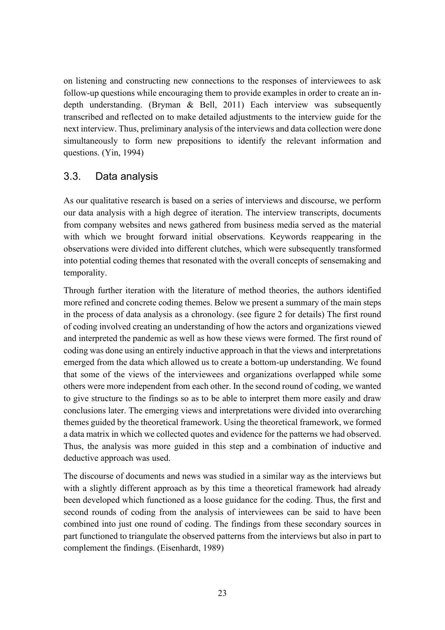on listening and constructing new connections to the responses of interviewees to ask follow-up questions while encouraging them to provide examples in order to create an indepth understanding. (Bryman & Bell, 2011) Each interview was subsequently transcribed and reflected on to make detailed adjustments to the interview guide for the next interview. Thus, preliminary analysis of the interviews and data collection were done simultaneously to form new prepositions to identify the relevant information and questions. (Yin, 1994)

### <span id="page-23-0"></span>3.3. Data analysis

As our qualitative research is based on a series of interviews and discourse, we perform our data analysis with a high degree of iteration. The interview transcripts, documents from company websites and news gathered from business media served as the material with which we brought forward initial observations. Keywords reappearing in the observations were divided into different clutches, which were subsequently transformed into potential coding themes that resonated with the overall concepts of sensemaking and temporality.

Through further iteration with the literature of method theories, the authors identified more refined and concrete coding themes. Below we present a summary of the main steps in the process of data analysis as a chronology. (see figure 2 for details) The first round of coding involved creating an understanding of how the actors and organizations viewed and interpreted the pandemic as well as how these views were formed. The first round of coding was done using an entirely inductive approach in that the views and interpretations emerged from the data which allowed us to create a bottom-up understanding. We found that some of the views of the interviewees and organizations overlapped while some others were more independent from each other. In the second round of coding, we wanted to give structure to the findings so as to be able to interpret them more easily and draw conclusions later. The emerging views and interpretations were divided into overarching themes guided by the theoretical framework. Using the theoretical framework, we formed a data matrix in which we collected quotes and evidence for the patterns we had observed. Thus, the analysis was more guided in this step and a combination of inductive and deductive approach was used.

The discourse of documents and news was studied in a similar way as the interviews but with a slightly different approach as by this time a theoretical framework had already been developed which functioned as a loose guidance for the coding. Thus, the first and second rounds of coding from the analysis of interviewees can be said to have been combined into just one round of coding. The findings from these secondary sources in part functioned to triangulate the observed patterns from the interviews but also in part to complement the findings. (Eisenhardt, 1989)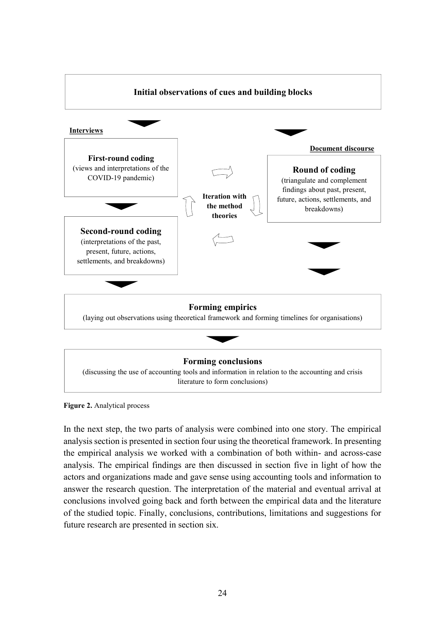

#### **Forming conclusions**

(discussing the use of accounting tools and information in relation to the accounting and crisis literature to form conclusions)

**Figure 2.** Analytical process

In the next step, the two parts of analysis were combined into one story. The empirical analysis section is presented in section four using the theoretical framework. In presenting the empirical analysis we worked with a combination of both within- and across-case analysis. The empirical findings are then discussed in section five in light of how the actors and organizations made and gave sense using accounting tools and information to answer the research question. The interpretation of the material and eventual arrival at conclusions involved going back and forth between the empirical data and the literature of the studied topic. Finally, conclusions, contributions, limitations and suggestions for future research are presented in section six.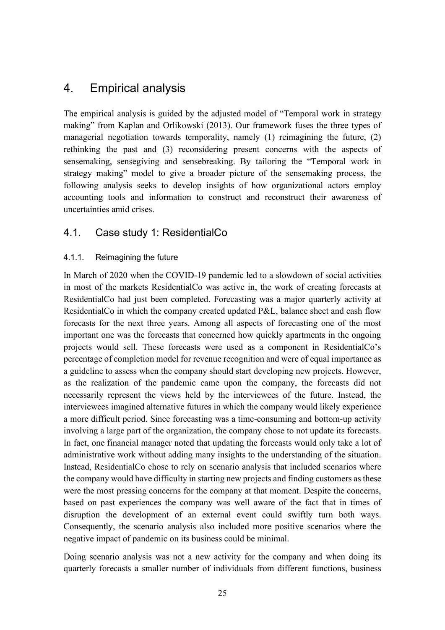# <span id="page-25-0"></span>4. Empirical analysis

The empirical analysis is guided by the adjusted model of "Temporal work in strategy making" from Kaplan and Orlikowski (2013). Our framework fuses the three types of managerial negotiation towards temporality, namely (1) reimagining the future, (2) rethinking the past and (3) reconsidering present concerns with the aspects of sensemaking, sensegiving and sensebreaking. By tailoring the "Temporal work in strategy making" model to give a broader picture of the sensemaking process, the following analysis seeks to develop insights of how organizational actors employ accounting tools and information to construct and reconstruct their awareness of uncertainties amid crises.

### <span id="page-25-1"></span>4.1. Case study 1: ResidentialCo

#### <span id="page-25-2"></span>4.1.1. Reimagining the future

In March of 2020 when the COVID-19 pandemic led to a slowdown of social activities in most of the markets ResidentialCo was active in, the work of creating forecasts at ResidentialCo had just been completed. Forecasting was a major quarterly activity at ResidentialCo in which the company created updated P&L, balance sheet and cash flow forecasts for the next three years. Among all aspects of forecasting one of the most important one was the forecasts that concerned how quickly apartments in the ongoing projects would sell. These forecasts were used as a component in ResidentialCo's percentage of completion model for revenue recognition and were of equal importance as a guideline to assess when the company should start developing new projects. However, as the realization of the pandemic came upon the company, the forecasts did not necessarily represent the views held by the interviewees of the future. Instead, the interviewees imagined alternative futures in which the company would likely experience a more difficult period. Since forecasting was a time-consuming and bottom-up activity involving a large part of the organization, the company chose to not update its forecasts. In fact, one financial manager noted that updating the forecasts would only take a lot of administrative work without adding many insights to the understanding of the situation. Instead, ResidentialCo chose to rely on scenario analysis that included scenarios where the company would have difficulty in starting new projects and finding customers as these were the most pressing concerns for the company at that moment. Despite the concerns, based on past experiences the company was well aware of the fact that in times of disruption the development of an external event could swiftly turn both ways. Consequently, the scenario analysis also included more positive scenarios where the negative impact of pandemic on its business could be minimal.

Doing scenario analysis was not a new activity for the company and when doing its quarterly forecasts a smaller number of individuals from different functions, business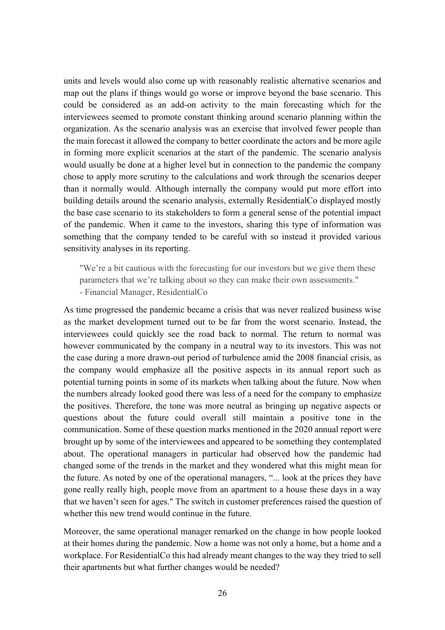units and levels would also come up with reasonably realistic alternative scenarios and map out the plans if things would go worse or improve beyond the base scenario. This could be considered as an add-on activity to the main forecasting which for the interviewees seemed to promote constant thinking around scenario planning within the organization. As the scenario analysis was an exercise that involved fewer people than the main forecast it allowed the company to better coordinate the actors and be more agile in forming more explicit scenarios at the start of the pandemic. The scenario analysis would usually be done at a higher level but in connection to the pandemic the company chose to apply more scrutiny to the calculations and work through the scenarios deeper than it normally would. Although internally the company would put more effort into building details around the scenario analysis, externally ResidentialCo displayed mostly the base case scenario to its stakeholders to form a general sense of the potential impact of the pandemic. When it came to the investors, sharing this type of information was something that the company tended to be careful with so instead it provided various sensitivity analyses in its reporting.

"We're a bit cautious with the forecasting for our investors but we give them these parameters that we're talking about so they can make their own assessments." - Financial Manager, ResidentialCo

As time progressed the pandemic became a crisis that was never realized business wise as the market development turned out to be far from the worst scenario. Instead, the interviewees could quickly see the road back to normal. The return to normal was however communicated by the company in a neutral way to its investors. This was not the case during a more drawn-out period of turbulence amid the 2008 financial crisis, as the company would emphasize all the positive aspects in its annual report such as potential turning points in some of its markets when talking about the future. Now when the numbers already looked good there was less of a need for the company to emphasize the positives. Therefore, the tone was more neutral as bringing up negative aspects or questions about the future could overall still maintain a positive tone in the communication. Some of these question marks mentioned in the 2020 annual report were brought up by some of the interviewees and appeared to be something they contemplated about. The operational managers in particular had observed how the pandemic had changed some of the trends in the market and they wondered what this might mean for the future. As noted by one of the operational managers, "... look at the prices they have gone really really high, people move from an apartment to a house these days in a way that we haven't seen for ages." The switch in customer preferences raised the question of whether this new trend would continue in the future.

Moreover, the same operational manager remarked on the change in how people looked at their homes during the pandemic. Now a home was not only a home, but a home and a workplace. For ResidentialCo this had already meant changes to the way they tried to sell their apartments but what further changes would be needed?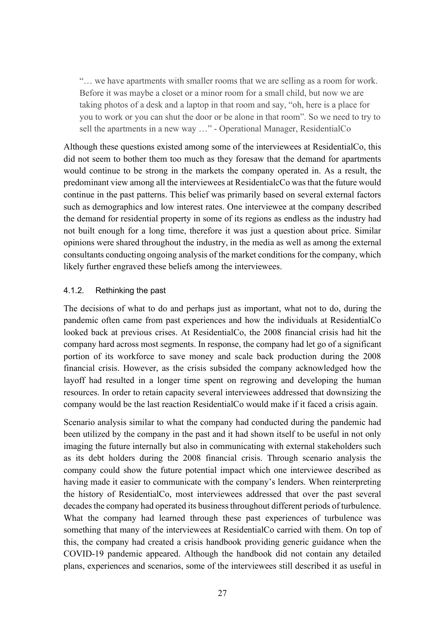"… we have apartments with smaller rooms that we are selling as a room for work. Before it was maybe a closet or a minor room for a small child, but now we are taking photos of a desk and a laptop in that room and say, "oh, here is a place for you to work or you can shut the door or be alone in that room". So we need to try to sell the apartments in a new way …" - Operational Manager, ResidentialCo

Although these questions existed among some of the interviewees at ResidentialCo, this did not seem to bother them too much as they foresaw that the demand for apartments would continue to be strong in the markets the company operated in. As a result, the predominant view among all the interviewees at ResidentialcCo was that the future would continue in the past patterns. This belief was primarily based on several external factors such as demographics and low interest rates. One interviewee at the company described the demand for residential property in some of its regions as endless as the industry had not built enough for a long time, therefore it was just a question about price. Similar opinions were shared throughout the industry, in the media as well as among the external consultants conducting ongoing analysis of the market conditions for the company, which likely further engraved these beliefs among the interviewees.

#### <span id="page-27-0"></span>4.1.2. Rethinking the past

The decisions of what to do and perhaps just as important, what not to do, during the pandemic often came from past experiences and how the individuals at ResidentialCo looked back at previous crises. At ResidentialCo, the 2008 financial crisis had hit the company hard across most segments. In response, the company had let go of a significant portion of its workforce to save money and scale back production during the 2008 financial crisis. However, as the crisis subsided the company acknowledged how the layoff had resulted in a longer time spent on regrowing and developing the human resources. In order to retain capacity several interviewees addressed that downsizing the company would be the last reaction ResidentialCo would make if it faced a crisis again.

Scenario analysis similar to what the company had conducted during the pandemic had been utilized by the company in the past and it had shown itself to be useful in not only imaging the future internally but also in communicating with external stakeholders such as its debt holders during the 2008 financial crisis. Through scenario analysis the company could show the future potential impact which one interviewee described as having made it easier to communicate with the company's lenders. When reinterpreting the history of ResidentialCo, most interviewees addressed that over the past several decades the company had operated its business throughout different periods of turbulence. What the company had learned through these past experiences of turbulence was something that many of the interviewees at ResidentialCo carried with them. On top of this, the company had created a crisis handbook providing generic guidance when the COVID-19 pandemic appeared. Although the handbook did not contain any detailed plans, experiences and scenarios, some of the interviewees still described it as useful in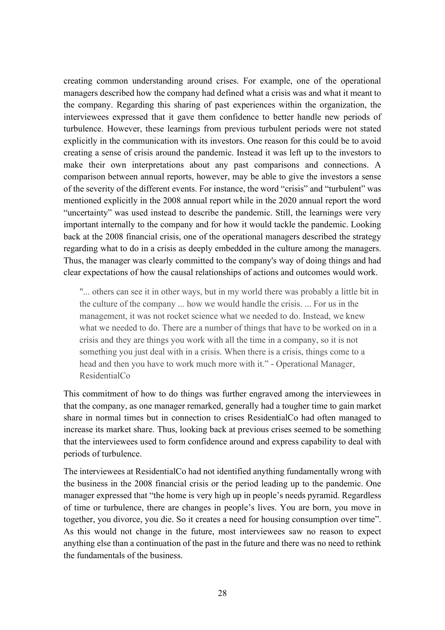creating common understanding around crises. For example, one of the operational managers described how the company had defined what a crisis was and what it meant to the company. Regarding this sharing of past experiences within the organization, the interviewees expressed that it gave them confidence to better handle new periods of turbulence. However, these learnings from previous turbulent periods were not stated explicitly in the communication with its investors. One reason for this could be to avoid creating a sense of crisis around the pandemic. Instead it was left up to the investors to make their own interpretations about any past comparisons and connections. A comparison between annual reports, however, may be able to give the investors a sense of the severity of the different events. For instance, the word "crisis" and "turbulent" was mentioned explicitly in the 2008 annual report while in the 2020 annual report the word "uncertainty" was used instead to describe the pandemic. Still, the learnings were very important internally to the company and for how it would tackle the pandemic. Looking back at the 2008 financial crisis, one of the operational managers described the strategy regarding what to do in a crisis as deeply embedded in the culture among the managers. Thus, the manager was clearly committed to the company's way of doing things and had clear expectations of how the causal relationships of actions and outcomes would work.

"... others can see it in other ways, but in my world there was probably a little bit in the culture of the company ... how we would handle the crisis. ... For us in the management, it was not rocket science what we needed to do. Instead, we knew what we needed to do. There are a number of things that have to be worked on in a crisis and they are things you work with all the time in a company, so it is not something you just deal with in a crisis. When there is a crisis, things come to a head and then you have to work much more with it." - Operational Manager, ResidentialCo

This commitment of how to do things was further engraved among the interviewees in that the company, as one manager remarked, generally had a tougher time to gain market share in normal times but in connection to crises ResidentialCo had often managed to increase its market share. Thus, looking back at previous crises seemed to be something that the interviewees used to form confidence around and express capability to deal with periods of turbulence.

The interviewees at ResidentialCo had not identified anything fundamentally wrong with the business in the 2008 financial crisis or the period leading up to the pandemic. One manager expressed that "the home is very high up in people's needs pyramid. Regardless of time or turbulence, there are changes in people's lives. You are born, you move in together, you divorce, you die. So it creates a need for housing consumption over time". As this would not change in the future, most interviewees saw no reason to expect anything else than a continuation of the past in the future and there was no need to rethink the fundamentals of the business.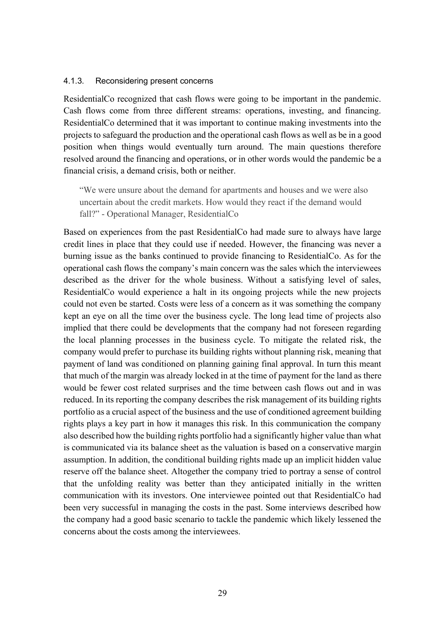#### <span id="page-29-0"></span>4.1.3. Reconsidering present concerns

ResidentialCo recognized that cash flows were going to be important in the pandemic. Cash flows come from three different streams: operations, investing, and financing. ResidentialCo determined that it was important to continue making investments into the projects to safeguard the production and the operational cash flows as well as be in a good position when things would eventually turn around. The main questions therefore resolved around the financing and operations, or in other words would the pandemic be a financial crisis, a demand crisis, both or neither.

"We were unsure about the demand for apartments and houses and we were also uncertain about the credit markets. How would they react if the demand would fall?" - Operational Manager, ResidentialCo

Based on experiences from the past ResidentialCo had made sure to always have large credit lines in place that they could use if needed. However, the financing was never a burning issue as the banks continued to provide financing to ResidentialCo. As for the operational cash flows the company's main concern was the sales which the interviewees described as the driver for the whole business. Without a satisfying level of sales, ResidentialCo would experience a halt in its ongoing projects while the new projects could not even be started. Costs were less of a concern as it was something the company kept an eye on all the time over the business cycle. The long lead time of projects also implied that there could be developments that the company had not foreseen regarding the local planning processes in the business cycle. To mitigate the related risk, the company would prefer to purchase its building rights without planning risk, meaning that payment of land was conditioned on planning gaining final approval. In turn this meant that much of the margin was already locked in at the time of payment for the land as there would be fewer cost related surprises and the time between cash flows out and in was reduced. In its reporting the company describes the risk management of its building rights portfolio as a crucial aspect of the business and the use of conditioned agreement building rights plays a key part in how it manages this risk. In this communication the company also described how the building rights portfolio had a significantly higher value than what is communicated via its balance sheet as the valuation is based on a conservative margin assumption. In addition, the conditional building rights made up an implicit hidden value reserve off the balance sheet. Altogether the company tried to portray a sense of control that the unfolding reality was better than they anticipated initially in the written communication with its investors. One interviewee pointed out that ResidentialCo had been very successful in managing the costs in the past. Some interviews described how the company had a good basic scenario to tackle the pandemic which likely lessened the concerns about the costs among the interviewees.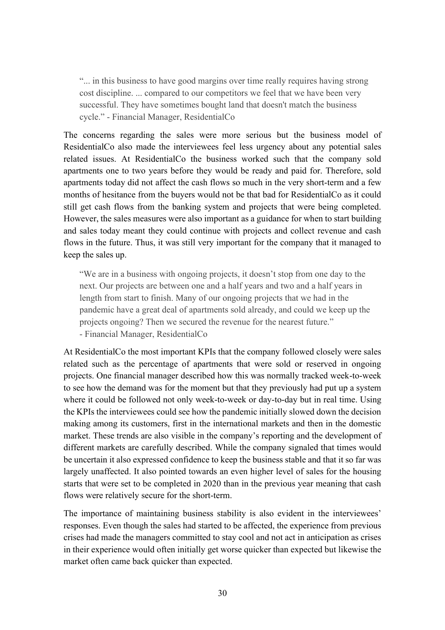"... in this business to have good margins over time really requires having strong cost discipline. ... compared to our competitors we feel that we have been very successful. They have sometimes bought land that doesn't match the business cycle." - Financial Manager, ResidentialCo

The concerns regarding the sales were more serious but the business model of ResidentialCo also made the interviewees feel less urgency about any potential sales related issues. At ResidentialCo the business worked such that the company sold apartments one to two years before they would be ready and paid for. Therefore, sold apartments today did not affect the cash flows so much in the very short-term and a few months of hesitance from the buyers would not be that bad for ResidentialCo as it could still get cash flows from the banking system and projects that were being completed. However, the sales measures were also important as a guidance for when to start building and sales today meant they could continue with projects and collect revenue and cash flows in the future. Thus, it was still very important for the company that it managed to keep the sales up.

"We are in a business with ongoing projects, it doesn't stop from one day to the next. Our projects are between one and a half years and two and a half years in length from start to finish. Many of our ongoing projects that we had in the pandemic have a great deal of apartments sold already, and could we keep up the projects ongoing? Then we secured the revenue for the nearest future." - Financial Manager, ResidentialCo

At ResidentialCo the most important KPIs that the company followed closely were sales related such as the percentage of apartments that were sold or reserved in ongoing projects. One financial manager described how this was normally tracked week-to-week to see how the demand was for the moment but that they previously had put up a system where it could be followed not only week-to-week or day-to-day but in real time. Using the KPIs the interviewees could see how the pandemic initially slowed down the decision making among its customers, first in the international markets and then in the domestic market. These trends are also visible in the company's reporting and the development of different markets are carefully described. While the company signaled that times would be uncertain it also expressed confidence to keep the business stable and that it so far was largely unaffected. It also pointed towards an even higher level of sales for the housing starts that were set to be completed in 2020 than in the previous year meaning that cash flows were relatively secure for the short-term.

The importance of maintaining business stability is also evident in the interviewees' responses. Even though the sales had started to be affected, the experience from previous crises had made the managers committed to stay cool and not act in anticipation as crises in their experience would often initially get worse quicker than expected but likewise the market often came back quicker than expected.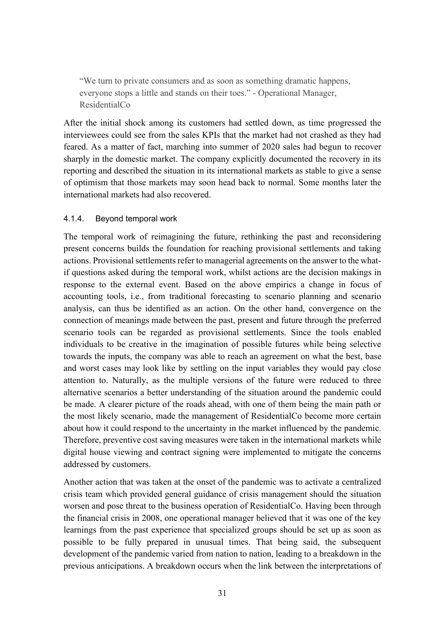"We turn to private consumers and as soon as something dramatic happens, everyone stops a little and stands on their toes." - Operational Manager, ResidentialCo

After the initial shock among its customers had settled down, as time progressed the interviewees could see from the sales KPIs that the market had not crashed as they had feared. As a matter of fact, marching into summer of 2020 sales had begun to recover sharply in the domestic market. The company explicitly documented the recovery in its reporting and described the situation in its international markets as stable to give a sense of optimism that those markets may soon head back to normal. Some months later the international markets had also recovered.

#### <span id="page-31-0"></span>4.1.4. Beyond temporal work

The temporal work of reimagining the future, rethinking the past and reconsidering present concerns builds the foundation for reaching provisional settlements and taking actions. Provisional settlements refer to managerial agreements on the answer to the whatif questions asked during the temporal work, whilst actions are the decision makings in response to the external event. Based on the above empirics a change in focus of accounting tools, i.e., from traditional forecasting to scenario planning and scenario analysis, can thus be identified as an action. On the other hand, convergence on the connection of meanings made between the past, present and future through the preferred scenario tools can be regarded as provisional settlements. Since the tools enabled individuals to be creative in the imagination of possible futures while being selective towards the inputs, the company was able to reach an agreement on what the best, base and worst cases may look like by settling on the input variables they would pay close attention to. Naturally, as the multiple versions of the future were reduced to three alternative scenarios a better understanding of the situation around the pandemic could be made. A clearer picture of the roads ahead, with one of them being the main path or the most likely scenario, made the management of ResidentialCo become more certain about how it could respond to the uncertainty in the market influenced by the pandemic. Therefore, preventive cost saving measures were taken in the international markets while digital house viewing and contract signing were implemented to mitigate the concerns addressed by customers.

Another action that was taken at the onset of the pandemic was to activate a centralized crisis team which provided general guidance of crisis management should the situation worsen and pose threat to the business operation of ResidentialCo. Having been through the financial crisis in 2008, one operational manager believed that it was one of the key learnings from the past experience that specialized groups should be set up as soon as possible to be fully prepared in unusual times. That being said, the subsequent development of the pandemic varied from nation to nation, leading to a breakdown in the previous anticipations. A breakdown occurs when the link between the interpretations of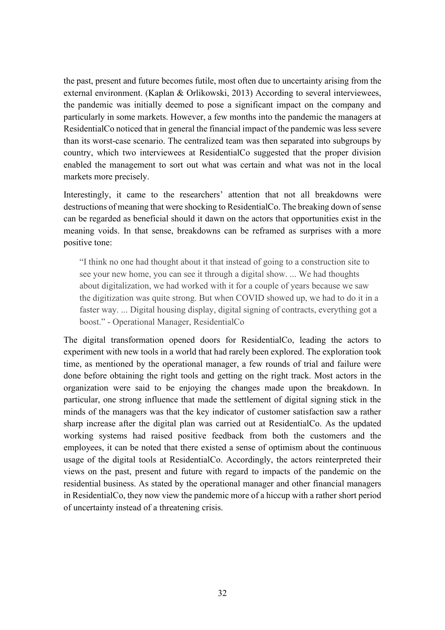the past, present and future becomes futile, most often due to uncertainty arising from the external environment. (Kaplan & Orlikowski, 2013) According to several interviewees, the pandemic was initially deemed to pose a significant impact on the company and particularly in some markets. However, a few months into the pandemic the managers at ResidentialCo noticed that in general the financial impact of the pandemic was less severe than its worst-case scenario. The centralized team was then separated into subgroups by country, which two interviewees at ResidentialCo suggested that the proper division enabled the management to sort out what was certain and what was not in the local markets more precisely.

Interestingly, it came to the researchers' attention that not all breakdowns were destructions of meaning that were shocking to ResidentialCo. The breaking down of sense can be regarded as beneficial should it dawn on the actors that opportunities exist in the meaning voids. In that sense, breakdowns can be reframed as surprises with a more positive tone:

"I think no one had thought about it that instead of going to a construction site to see your new home, you can see it through a digital show. ... We had thoughts about digitalization, we had worked with it for a couple of years because we saw the digitization was quite strong. But when COVID showed up, we had to do it in a faster way. ... Digital housing display, digital signing of contracts, everything got a boost." - Operational Manager, ResidentialCo

The digital transformation opened doors for ResidentialCo, leading the actors to experiment with new tools in a world that had rarely been explored. The exploration took time, as mentioned by the operational manager, a few rounds of trial and failure were done before obtaining the right tools and getting on the right track. Most actors in the organization were said to be enjoying the changes made upon the breakdown. In particular, one strong influence that made the settlement of digital signing stick in the minds of the managers was that the key indicator of customer satisfaction saw a rather sharp increase after the digital plan was carried out at ResidentialCo. As the updated working systems had raised positive feedback from both the customers and the employees, it can be noted that there existed a sense of optimism about the continuous usage of the digital tools at ResidentialCo. Accordingly, the actors reinterpreted their views on the past, present and future with regard to impacts of the pandemic on the residential business. As stated by the operational manager and other financial managers in ResidentialCo, they now view the pandemic more of a hiccup with a rather short period of uncertainty instead of a threatening crisis.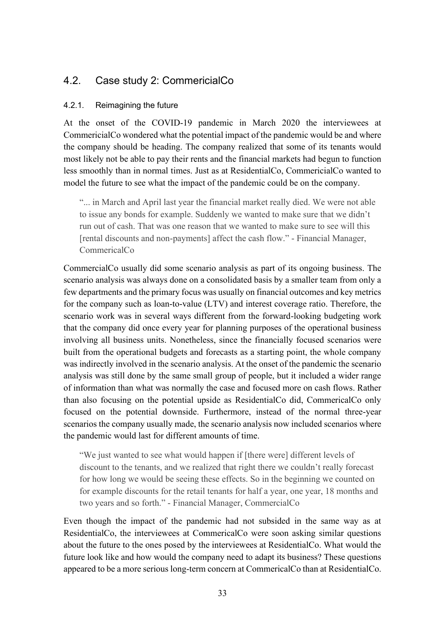# <span id="page-33-0"></span>4.2. Case study 2: CommericialCo

#### <span id="page-33-1"></span>4.2.1. Reimagining the future

At the onset of the COVID-19 pandemic in March 2020 the interviewees at CommericialCo wondered what the potential impact of the pandemic would be and where the company should be heading. The company realized that some of its tenants would most likely not be able to pay their rents and the financial markets had begun to function less smoothly than in normal times. Just as at ResidentialCo, CommericialCo wanted to model the future to see what the impact of the pandemic could be on the company.

"... in March and April last year the financial market really died. We were not able to issue any bonds for example. Suddenly we wanted to make sure that we didn't run out of cash. That was one reason that we wanted to make sure to see will this [rental discounts and non-payments] affect the cash flow." - Financial Manager, CommericalCo

CommercialCo usually did some scenario analysis as part of its ongoing business. The scenario analysis was always done on a consolidated basis by a smaller team from only a few departments and the primary focus was usually on financial outcomes and key metrics for the company such as loan-to-value (LTV) and interest coverage ratio. Therefore, the scenario work was in several ways different from the forward-looking budgeting work that the company did once every year for planning purposes of the operational business involving all business units. Nonetheless, since the financially focused scenarios were built from the operational budgets and forecasts as a starting point, the whole company was indirectly involved in the scenario analysis. At the onset of the pandemic the scenario analysis was still done by the same small group of people, but it included a wider range of information than what was normally the case and focused more on cash flows. Rather than also focusing on the potential upside as ResidentialCo did, CommericalCo only focused on the potential downside. Furthermore, instead of the normal three-year scenarios the company usually made, the scenario analysis now included scenarios where the pandemic would last for different amounts of time.

"We just wanted to see what would happen if [there were] different levels of discount to the tenants, and we realized that right there we couldn't really forecast for how long we would be seeing these effects. So in the beginning we counted on for example discounts for the retail tenants for half a year, one year, 18 months and two years and so forth." - Financial Manager, CommercialCo

Even though the impact of the pandemic had not subsided in the same way as at ResidentialCo, the interviewees at CommericalCo were soon asking similar questions about the future to the ones posed by the interviewees at ResidentialCo. What would the future look like and how would the company need to adapt its business? These questions appeared to be a more serious long-term concern at CommericalCo than at ResidentialCo.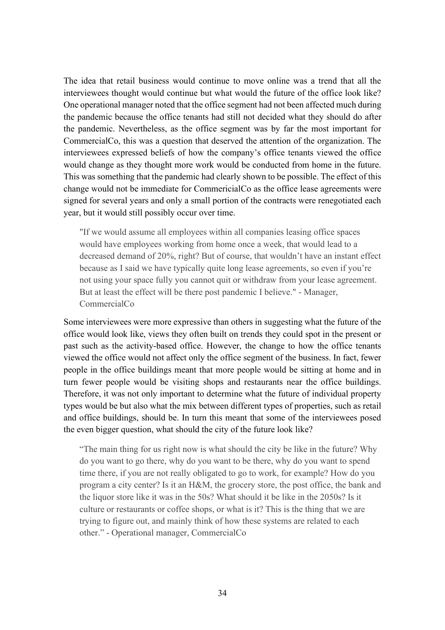The idea that retail business would continue to move online was a trend that all the interviewees thought would continue but what would the future of the office look like? One operational manager noted that the office segment had not been affected much during the pandemic because the office tenants had still not decided what they should do after the pandemic. Nevertheless, as the office segment was by far the most important for CommercialCo, this was a question that deserved the attention of the organization. The interviewees expressed beliefs of how the company's office tenants viewed the office would change as they thought more work would be conducted from home in the future. This was something that the pandemic had clearly shown to be possible. The effect of this change would not be immediate for CommericialCo as the office lease agreements were signed for several years and only a small portion of the contracts were renegotiated each year, but it would still possibly occur over time.

"If we would assume all employees within all companies leasing office spaces would have employees working from home once a week, that would lead to a decreased demand of 20%, right? But of course, that wouldn't have an instant effect because as I said we have typically quite long lease agreements, so even if you're not using your space fully you cannot quit or withdraw from your lease agreement. But at least the effect will be there post pandemic I believe." - Manager, CommercialCo

Some interviewees were more expressive than others in suggesting what the future of the office would look like, views they often built on trends they could spot in the present or past such as the activity-based office. However, the change to how the office tenants viewed the office would not affect only the office segment of the business. In fact, fewer people in the office buildings meant that more people would be sitting at home and in turn fewer people would be visiting shops and restaurants near the office buildings. Therefore, it was not only important to determine what the future of individual property types would be but also what the mix between different types of properties, such as retail and office buildings, should be. In turn this meant that some of the interviewees posed the even bigger question, what should the city of the future look like?

"The main thing for us right now is what should the city be like in the future? Why do you want to go there, why do you want to be there, why do you want to spend time there, if you are not really obligated to go to work, for example? How do you program a city center? Is it an H&M, the grocery store, the post office, the bank and the liquor store like it was in the 50s? What should it be like in the 2050s? Is it culture or restaurants or coffee shops, or what is it? This is the thing that we are trying to figure out, and mainly think of how these systems are related to each other." - Operational manager, CommercialCo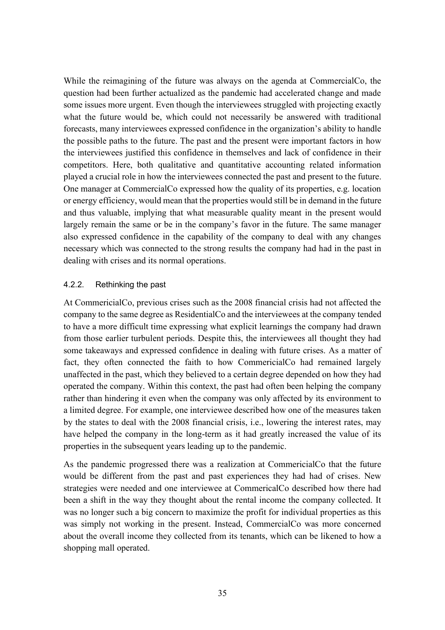While the reimagining of the future was always on the agenda at CommercialCo, the question had been further actualized as the pandemic had accelerated change and made some issues more urgent. Even though the interviewees struggled with projecting exactly what the future would be, which could not necessarily be answered with traditional forecasts, many interviewees expressed confidence in the organization's ability to handle the possible paths to the future. The past and the present were important factors in how the interviewees justified this confidence in themselves and lack of confidence in their competitors. Here, both qualitative and quantitative accounting related information played a crucial role in how the interviewees connected the past and present to the future. One manager at CommercialCo expressed how the quality of its properties, e.g. location or energy efficiency, would mean that the properties would still be in demand in the future and thus valuable, implying that what measurable quality meant in the present would largely remain the same or be in the company's favor in the future. The same manager also expressed confidence in the capability of the company to deal with any changes necessary which was connected to the strong results the company had had in the past in dealing with crises and its normal operations.

#### <span id="page-35-0"></span>4.2.2. Rethinking the past

At CommericialCo, previous crises such as the 2008 financial crisis had not affected the company to the same degree as ResidentialCo and the interviewees at the company tended to have a more difficult time expressing what explicit learnings the company had drawn from those earlier turbulent periods. Despite this, the interviewees all thought they had some takeaways and expressed confidence in dealing with future crises. As a matter of fact, they often connected the faith to how CommericialCo had remained largely unaffected in the past, which they believed to a certain degree depended on how they had operated the company. Within this context, the past had often been helping the company rather than hindering it even when the company was only affected by its environment to a limited degree. For example, one interviewee described how one of the measures taken by the states to deal with the 2008 financial crisis, i.e., lowering the interest rates, may have helped the company in the long-term as it had greatly increased the value of its properties in the subsequent years leading up to the pandemic.

As the pandemic progressed there was a realization at CommericialCo that the future would be different from the past and past experiences they had had of crises. New strategies were needed and one interviewee at CommericalCo described how there had been a shift in the way they thought about the rental income the company collected. It was no longer such a big concern to maximize the profit for individual properties as this was simply not working in the present. Instead, CommercialCo was more concerned about the overall income they collected from its tenants, which can be likened to how a shopping mall operated.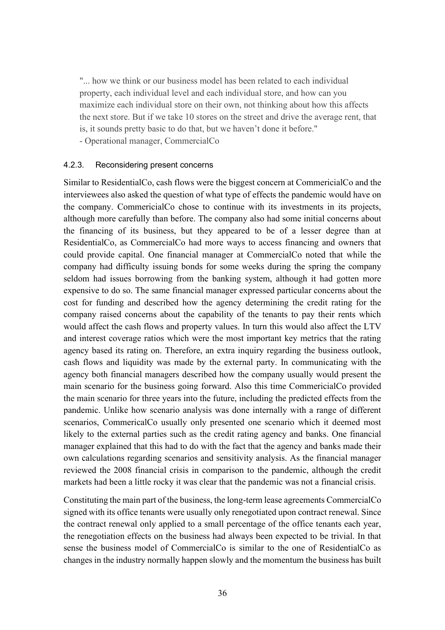"... how we think or our business model has been related to each individual property, each individual level and each individual store, and how can you maximize each individual store on their own, not thinking about how this affects the next store. But if we take 10 stores on the street and drive the average rent, that is, it sounds pretty basic to do that, but we haven't done it before." - Operational manager, CommercialCo

#### <span id="page-36-0"></span>4.2.3. Reconsidering present concerns

Similar to ResidentialCo, cash flows were the biggest concern at CommericialCo and the interviewees also asked the question of what type of effects the pandemic would have on the company. CommericialCo chose to continue with its investments in its projects, although more carefully than before. The company also had some initial concerns about the financing of its business, but they appeared to be of a lesser degree than at ResidentialCo, as CommercialCo had more ways to access financing and owners that could provide capital. One financial manager at CommercialCo noted that while the company had difficulty issuing bonds for some weeks during the spring the company seldom had issues borrowing from the banking system, although it had gotten more expensive to do so. The same financial manager expressed particular concerns about the cost for funding and described how the agency determining the credit rating for the company raised concerns about the capability of the tenants to pay their rents which would affect the cash flows and property values. In turn this would also affect the LTV and interest coverage ratios which were the most important key metrics that the rating agency based its rating on. Therefore, an extra inquiry regarding the business outlook, cash flows and liquidity was made by the external party. In communicating with the agency both financial managers described how the company usually would present the main scenario for the business going forward. Also this time CommericialCo provided the main scenario for three years into the future, including the predicted effects from the pandemic. Unlike how scenario analysis was done internally with a range of different scenarios, CommericalCo usually only presented one scenario which it deemed most likely to the external parties such as the credit rating agency and banks. One financial manager explained that this had to do with the fact that the agency and banks made their own calculations regarding scenarios and sensitivity analysis. As the financial manager reviewed the 2008 financial crisis in comparison to the pandemic, although the credit markets had been a little rocky it was clear that the pandemic was not a financial crisis.

Constituting the main part of the business, the long-term lease agreements CommercialCo signed with its office tenants were usually only renegotiated upon contract renewal. Since the contract renewal only applied to a small percentage of the office tenants each year, the renegotiation effects on the business had always been expected to be trivial. In that sense the business model of CommercialCo is similar to the one of ResidentialCo as changes in the industry normally happen slowly and the momentum the business has built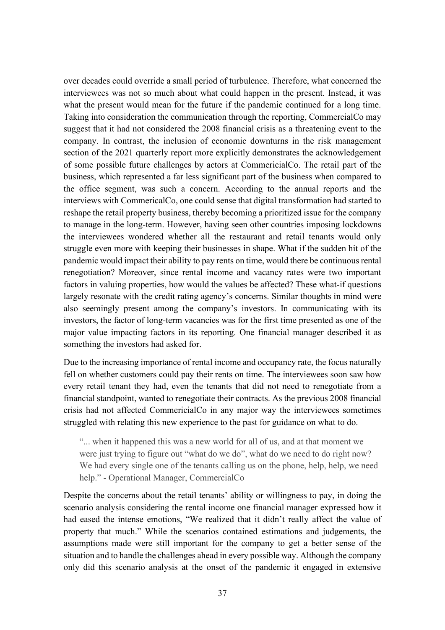over decades could override a small period of turbulence. Therefore, what concerned the interviewees was not so much about what could happen in the present. Instead, it was what the present would mean for the future if the pandemic continued for a long time. Taking into consideration the communication through the reporting, CommercialCo may suggest that it had not considered the 2008 financial crisis as a threatening event to the company. In contrast, the inclusion of economic downturns in the risk management section of the 2021 quarterly report more explicitly demonstrates the acknowledgement of some possible future challenges by actors at CommericialCo. The retail part of the business, which represented a far less significant part of the business when compared to the office segment, was such a concern. According to the annual reports and the interviews with CommericalCo, one could sense that digital transformation had started to reshape the retail property business, thereby becoming a prioritized issue for the company to manage in the long-term. However, having seen other countries imposing lockdowns the interviewees wondered whether all the restaurant and retail tenants would only struggle even more with keeping their businesses in shape. What if the sudden hit of the pandemic would impact their ability to pay rents on time, would there be continuous rental renegotiation? Moreover, since rental income and vacancy rates were two important factors in valuing properties, how would the values be affected? These what-if questions largely resonate with the credit rating agency's concerns. Similar thoughts in mind were also seemingly present among the company's investors. In communicating with its investors, the factor of long-term vacancies was for the first time presented as one of the major value impacting factors in its reporting. One financial manager described it as something the investors had asked for.

Due to the increasing importance of rental income and occupancy rate, the focus naturally fell on whether customers could pay their rents on time. The interviewees soon saw how every retail tenant they had, even the tenants that did not need to renegotiate from a financial standpoint, wanted to renegotiate their contracts. As the previous 2008 financial crisis had not affected CommericialCo in any major way the interviewees sometimes struggled with relating this new experience to the past for guidance on what to do.

"... when it happened this was a new world for all of us, and at that moment we were just trying to figure out "what do we do", what do we need to do right now? We had every single one of the tenants calling us on the phone, help, help, we need help." - Operational Manager, CommercialCo

Despite the concerns about the retail tenants' ability or willingness to pay, in doing the scenario analysis considering the rental income one financial manager expressed how it had eased the intense emotions, "We realized that it didn't really affect the value of property that much." While the scenarios contained estimations and judgements, the assumptions made were still important for the company to get a better sense of the situation and to handle the challenges ahead in every possible way. Although the company only did this scenario analysis at the onset of the pandemic it engaged in extensive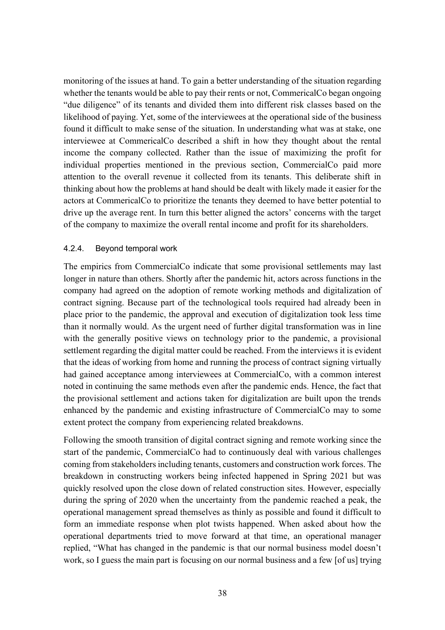monitoring of the issues at hand. To gain a better understanding of the situation regarding whether the tenants would be able to pay their rents or not, CommericalCo began ongoing "due diligence" of its tenants and divided them into different risk classes based on the likelihood of paying. Yet, some of the interviewees at the operational side of the business found it difficult to make sense of the situation. In understanding what was at stake, one interviewee at CommericalCo described a shift in how they thought about the rental income the company collected. Rather than the issue of maximizing the profit for individual properties mentioned in the previous section, CommercialCo paid more attention to the overall revenue it collected from its tenants. This deliberate shift in thinking about how the problems at hand should be dealt with likely made it easier for the actors at CommericalCo to prioritize the tenants they deemed to have better potential to drive up the average rent. In turn this better aligned the actors' concerns with the target of the company to maximize the overall rental income and profit for its shareholders.

#### <span id="page-38-0"></span>4.2.4. Beyond temporal work

The empirics from CommercialCo indicate that some provisional settlements may last longer in nature than others. Shortly after the pandemic hit, actors across functions in the company had agreed on the adoption of remote working methods and digitalization of contract signing. Because part of the technological tools required had already been in place prior to the pandemic, the approval and execution of digitalization took less time than it normally would. As the urgent need of further digital transformation was in line with the generally positive views on technology prior to the pandemic, a provisional settlement regarding the digital matter could be reached. From the interviews it is evident that the ideas of working from home and running the process of contract signing virtually had gained acceptance among interviewees at CommercialCo, with a common interest noted in continuing the same methods even after the pandemic ends. Hence, the fact that the provisional settlement and actions taken for digitalization are built upon the trends enhanced by the pandemic and existing infrastructure of CommercialCo may to some extent protect the company from experiencing related breakdowns.

Following the smooth transition of digital contract signing and remote working since the start of the pandemic, CommercialCo had to continuously deal with various challenges coming from stakeholders including tenants, customers and construction work forces. The breakdown in constructing workers being infected happened in Spring 2021 but was quickly resolved upon the close down of related construction sites. However, especially during the spring of 2020 when the uncertainty from the pandemic reached a peak, the operational management spread themselves as thinly as possible and found it difficult to form an immediate response when plot twists happened. When asked about how the operational departments tried to move forward at that time, an operational manager replied, "What has changed in the pandemic is that our normal business model doesn't work, so I guess the main part is focusing on our normal business and a few [of us] trying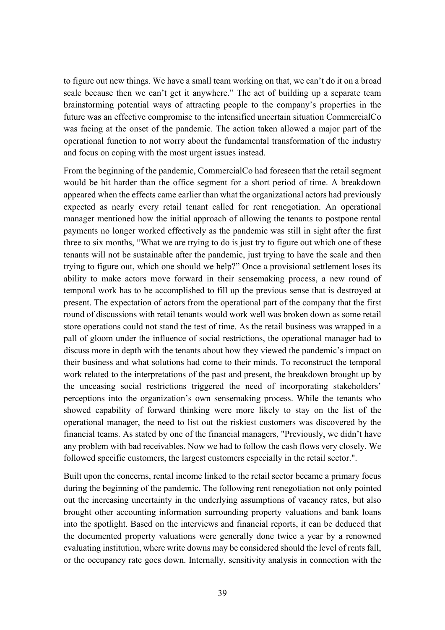to figure out new things. We have a small team working on that, we can't do it on a broad scale because then we can't get it anywhere." The act of building up a separate team brainstorming potential ways of attracting people to the company's properties in the future was an effective compromise to the intensified uncertain situation CommercialCo was facing at the onset of the pandemic. The action taken allowed a major part of the operational function to not worry about the fundamental transformation of the industry and focus on coping with the most urgent issues instead.

From the beginning of the pandemic, CommercialCo had foreseen that the retail segment would be hit harder than the office segment for a short period of time. A breakdown appeared when the effects came earlier than what the organizational actors had previously expected as nearly every retail tenant called for rent renegotiation. An operational manager mentioned how the initial approach of allowing the tenants to postpone rental payments no longer worked effectively as the pandemic was still in sight after the first three to six months, "What we are trying to do is just try to figure out which one of these tenants will not be sustainable after the pandemic, just trying to have the scale and then trying to figure out, which one should we help?" Once a provisional settlement loses its ability to make actors move forward in their sensemaking process, a new round of temporal work has to be accomplished to fill up the previous sense that is destroyed at present. The expectation of actors from the operational part of the company that the first round of discussions with retail tenants would work well was broken down as some retail store operations could not stand the test of time. As the retail business was wrapped in a pall of gloom under the influence of social restrictions, the operational manager had to discuss more in depth with the tenants about how they viewed the pandemic's impact on their business and what solutions had come to their minds. To reconstruct the temporal work related to the interpretations of the past and present, the breakdown brought up by the unceasing social restrictions triggered the need of incorporating stakeholders' perceptions into the organization's own sensemaking process. While the tenants who showed capability of forward thinking were more likely to stay on the list of the operational manager, the need to list out the riskiest customers was discovered by the financial teams. As stated by one of the financial managers, "Previously, we didn't have any problem with bad receivables. Now we had to follow the cash flows very closely. We followed specific customers, the largest customers especially in the retail sector.".

Built upon the concerns, rental income linked to the retail sector became a primary focus during the beginning of the pandemic. The following rent renegotiation not only pointed out the increasing uncertainty in the underlying assumptions of vacancy rates, but also brought other accounting information surrounding property valuations and bank loans into the spotlight. Based on the interviews and financial reports, it can be deduced that the documented property valuations were generally done twice a year by a renowned evaluating institution, where write downs may be considered should the level of rents fall, or the occupancy rate goes down. Internally, sensitivity analysis in connection with the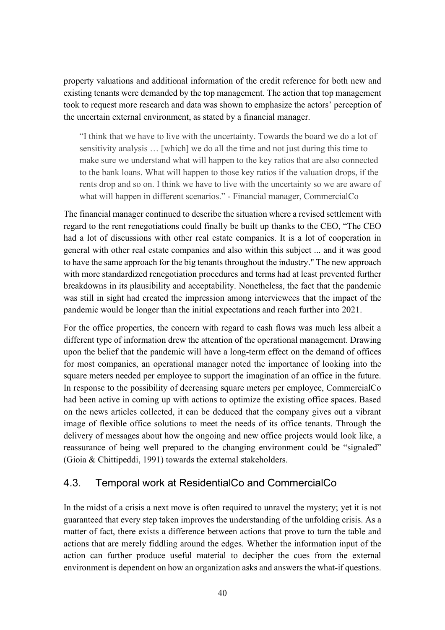property valuations and additional information of the credit reference for both new and existing tenants were demanded by the top management. The action that top management took to request more research and data was shown to emphasize the actors' perception of the uncertain external environment, as stated by a financial manager.

"I think that we have to live with the uncertainty. Towards the board we do a lot of sensitivity analysis … [which] we do all the time and not just during this time to make sure we understand what will happen to the key ratios that are also connected to the bank loans. What will happen to those key ratios if the valuation drops, if the rents drop and so on. I think we have to live with the uncertainty so we are aware of what will happen in different scenarios." - Financial manager, CommercialCo

The financial manager continued to describe the situation where a revised settlement with regard to the rent renegotiations could finally be built up thanks to the CEO, "The CEO had a lot of discussions with other real estate companies. It is a lot of cooperation in general with other real estate companies and also within this subject ... and it was good to have the same approach for the big tenants throughout the industry." The new approach with more standardized renegotiation procedures and terms had at least prevented further breakdowns in its plausibility and acceptability. Nonetheless, the fact that the pandemic was still in sight had created the impression among interviewees that the impact of the pandemic would be longer than the initial expectations and reach further into 2021.

For the office properties, the concern with regard to cash flows was much less albeit a different type of information drew the attention of the operational management. Drawing upon the belief that the pandemic will have a long-term effect on the demand of offices for most companies, an operational manager noted the importance of looking into the square meters needed per employee to support the imagination of an office in the future. In response to the possibility of decreasing square meters per employee, CommercialCo had been active in coming up with actions to optimize the existing office spaces. Based on the news articles collected, it can be deduced that the company gives out a vibrant image of flexible office solutions to meet the needs of its office tenants. Through the delivery of messages about how the ongoing and new office projects would look like, a reassurance of being well prepared to the changing environment could be "signaled" (Gioia & Chittipeddi, 1991) towards the external stakeholders.

# <span id="page-40-0"></span>4.3. Temporal work at ResidentialCo and CommercialCo

In the midst of a crisis a next move is often required to unravel the mystery; yet it is not guaranteed that every step taken improves the understanding of the unfolding crisis. As a matter of fact, there exists a difference between actions that prove to turn the table and actions that are merely fiddling around the edges. Whether the information input of the action can further produce useful material to decipher the cues from the external environment is dependent on how an organization asks and answers the what-if questions.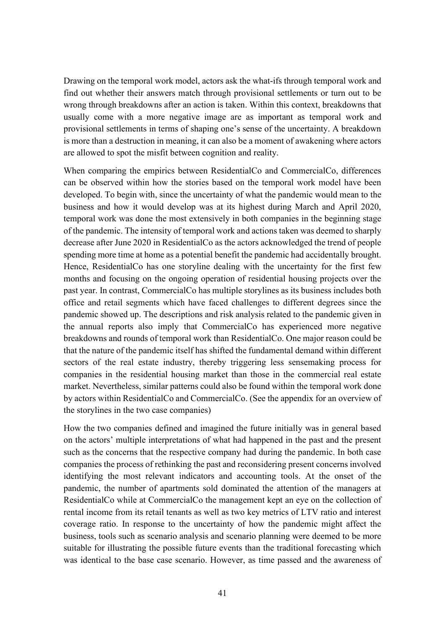Drawing on the temporal work model, actors ask the what-ifs through temporal work and find out whether their answers match through provisional settlements or turn out to be wrong through breakdowns after an action is taken. Within this context, breakdowns that usually come with a more negative image are as important as temporal work and provisional settlements in terms of shaping one's sense of the uncertainty. A breakdown is more than a destruction in meaning, it can also be a moment of awakening where actors are allowed to spot the misfit between cognition and reality.

When comparing the empirics between ResidentialCo and CommercialCo, differences can be observed within how the stories based on the temporal work model have been developed. To begin with, since the uncertainty of what the pandemic would mean to the business and how it would develop was at its highest during March and April 2020, temporal work was done the most extensively in both companies in the beginning stage of the pandemic. The intensity of temporal work and actions taken was deemed to sharply decrease after June 2020 in ResidentialCo as the actors acknowledged the trend of people spending more time at home as a potential benefit the pandemic had accidentally brought. Hence, ResidentialCo has one storyline dealing with the uncertainty for the first few months and focusing on the ongoing operation of residential housing projects over the past year. In contrast, CommercialCo has multiple storylines as its business includes both office and retail segments which have faced challenges to different degrees since the pandemic showed up. The descriptions and risk analysis related to the pandemic given in the annual reports also imply that CommercialCo has experienced more negative breakdowns and rounds of temporal work than ResidentialCo. One major reason could be that the nature of the pandemic itself has shifted the fundamental demand within different sectors of the real estate industry, thereby triggering less sensemaking process for companies in the residential housing market than those in the commercial real estate market. Nevertheless, similar patterns could also be found within the temporal work done by actors within ResidentialCo and CommercialCo. (See the appendix for an overview of the storylines in the two case companies)

How the two companies defined and imagined the future initially was in general based on the actors' multiple interpretations of what had happened in the past and the present such as the concerns that the respective company had during the pandemic. In both case companies the process of rethinking the past and reconsidering present concerns involved identifying the most relevant indicators and accounting tools. At the onset of the pandemic, the number of apartments sold dominated the attention of the managers at ResidentialCo while at CommercialCo the management kept an eye on the collection of rental income from its retail tenants as well as two key metrics of LTV ratio and interest coverage ratio. In response to the uncertainty of how the pandemic might affect the business, tools such as scenario analysis and scenario planning were deemed to be more suitable for illustrating the possible future events than the traditional forecasting which was identical to the base case scenario. However, as time passed and the awareness of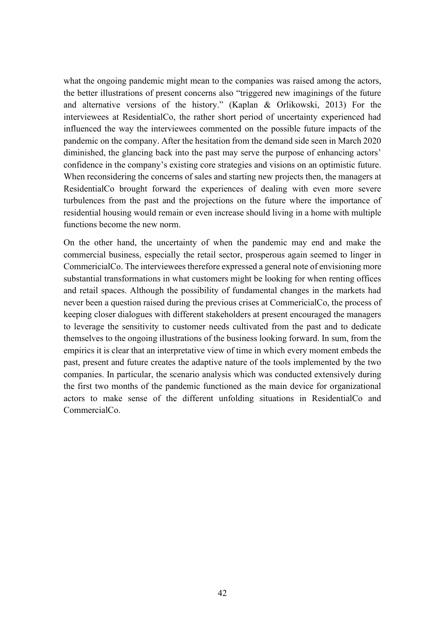what the ongoing pandemic might mean to the companies was raised among the actors, the better illustrations of present concerns also "triggered new imaginings of the future and alternative versions of the history." (Kaplan & Orlikowski, 2013) For the interviewees at ResidentialCo, the rather short period of uncertainty experienced had influenced the way the interviewees commented on the possible future impacts of the pandemic on the company. After the hesitation from the demand side seen in March 2020 diminished, the glancing back into the past may serve the purpose of enhancing actors' confidence in the company's existing core strategies and visions on an optimistic future. When reconsidering the concerns of sales and starting new projects then, the managers at ResidentialCo brought forward the experiences of dealing with even more severe turbulences from the past and the projections on the future where the importance of residential housing would remain or even increase should living in a home with multiple functions become the new norm.

On the other hand, the uncertainty of when the pandemic may end and make the commercial business, especially the retail sector, prosperous again seemed to linger in CommericialCo. The interviewees therefore expressed a general note of envisioning more substantial transformations in what customers might be looking for when renting offices and retail spaces. Although the possibility of fundamental changes in the markets had never been a question raised during the previous crises at CommericialCo, the process of keeping closer dialogues with different stakeholders at present encouraged the managers to leverage the sensitivity to customer needs cultivated from the past and to dedicate themselves to the ongoing illustrations of the business looking forward. In sum, from the empirics it is clear that an interpretative view of time in which every moment embeds the past, present and future creates the adaptive nature of the tools implemented by the two companies. In particular, the scenario analysis which was conducted extensively during the first two months of the pandemic functioned as the main device for organizational actors to make sense of the different unfolding situations in ResidentialCo and CommercialCo.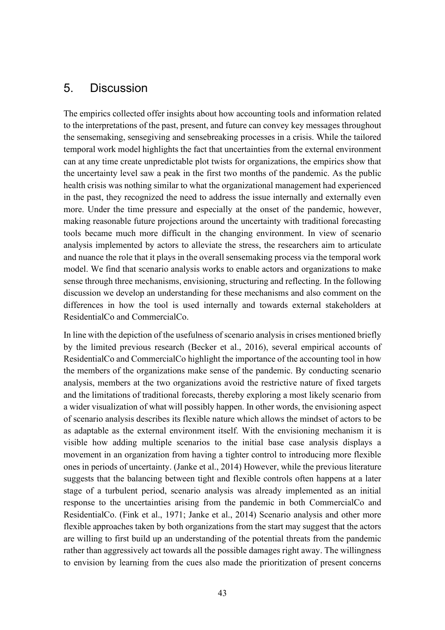# <span id="page-43-0"></span>5. Discussion

The empirics collected offer insights about how accounting tools and information related to the interpretations of the past, present, and future can convey key messages throughout the sensemaking, sensegiving and sensebreaking processes in a crisis. While the tailored temporal work model highlights the fact that uncertainties from the external environment can at any time create unpredictable plot twists for organizations, the empirics show that the uncertainty level saw a peak in the first two months of the pandemic. As the public health crisis was nothing similar to what the organizational management had experienced in the past, they recognized the need to address the issue internally and externally even more. Under the time pressure and especially at the onset of the pandemic, however, making reasonable future projections around the uncertainty with traditional forecasting tools became much more difficult in the changing environment. In view of scenario analysis implemented by actors to alleviate the stress, the researchers aim to articulate and nuance the role that it plays in the overall sensemaking process via the temporal work model. We find that scenario analysis works to enable actors and organizations to make sense through three mechanisms, envisioning, structuring and reflecting. In the following discussion we develop an understanding for these mechanisms and also comment on the differences in how the tool is used internally and towards external stakeholders at ResidentialCo and CommercialCo.

In line with the depiction of the usefulness of scenario analysis in crises mentioned briefly by the limited previous research (Becker et al., 2016), several empirical accounts of ResidentialCo and CommercialCo highlight the importance of the accounting tool in how the members of the organizations make sense of the pandemic. By conducting scenario analysis, members at the two organizations avoid the restrictive nature of fixed targets and the limitations of traditional forecasts, thereby exploring a most likely scenario from a wider visualization of what will possibly happen. In other words, the envisioning aspect of scenario analysis describes its flexible nature which allows the mindset of actors to be as adaptable as the external environment itself. With the envisioning mechanism it is visible how adding multiple scenarios to the initial base case analysis displays a movement in an organization from having a tighter control to introducing more flexible ones in periods of uncertainty. (Janke et al., 2014) However, while the previous literature suggests that the balancing between tight and flexible controls often happens at a later stage of a turbulent period, scenario analysis was already implemented as an initial response to the uncertainties arising from the pandemic in both CommercialCo and ResidentialCo. (Fink et al., 1971; Janke et al., 2014) Scenario analysis and other more flexible approaches taken by both organizations from the start may suggest that the actors are willing to first build up an understanding of the potential threats from the pandemic rather than aggressively act towards all the possible damages right away. The willingness to envision by learning from the cues also made the prioritization of present concerns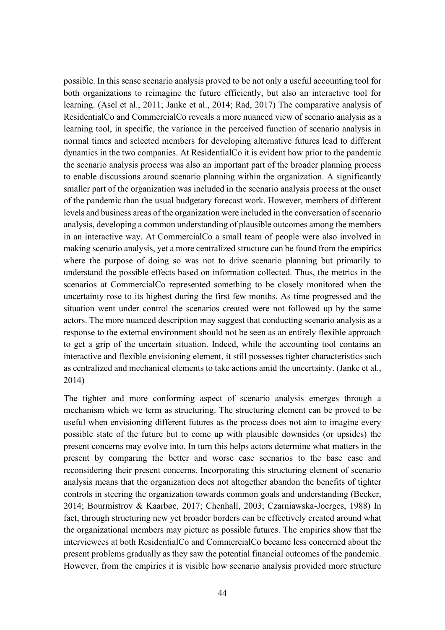possible. In this sense scenario analysis proved to be not only a useful accounting tool for both organizations to reimagine the future efficiently, but also an interactive tool for learning. (Asel et al., 2011; Janke et al., 2014; Rad, 2017) The comparative analysis of ResidentialCo and CommercialCo reveals a more nuanced view of scenario analysis as a learning tool, in specific, the variance in the perceived function of scenario analysis in normal times and selected members for developing alternative futures lead to different dynamics in the two companies. At ResidentialCo it is evident how prior to the pandemic the scenario analysis process was also an important part of the broader planning process to enable discussions around scenario planning within the organization. A significantly smaller part of the organization was included in the scenario analysis process at the onset of the pandemic than the usual budgetary forecast work. However, members of different levels and business areas of the organization were included in the conversation of scenario analysis, developing a common understanding of plausible outcomes among the members in an interactive way. At CommercialCo a small team of people were also involved in making scenario analysis, yet a more centralized structure can be found from the empirics where the purpose of doing so was not to drive scenario planning but primarily to understand the possible effects based on information collected. Thus, the metrics in the scenarios at CommercialCo represented something to be closely monitored when the uncertainty rose to its highest during the first few months. As time progressed and the situation went under control the scenarios created were not followed up by the same actors. The more nuanced description may suggest that conducting scenario analysis as a response to the external environment should not be seen as an entirely flexible approach to get a grip of the uncertain situation. Indeed, while the accounting tool contains an interactive and flexible envisioning element, it still possesses tighter characteristics such as centralized and mechanical elements to take actions amid the uncertainty. (Janke et al., 2014)

The tighter and more conforming aspect of scenario analysis emerges through a mechanism which we term as structuring. The structuring element can be proved to be useful when envisioning different futures as the process does not aim to imagine every possible state of the future but to come up with plausible downsides (or upsides) the present concerns may evolve into. In turn this helps actors determine what matters in the present by comparing the better and worse case scenarios to the base case and reconsidering their present concerns. Incorporating this structuring element of scenario analysis means that the organization does not altogether abandon the benefits of tighter controls in steering the organization towards common goals and understanding (Becker, 2014; Bourmistrov & Kaarbøe, 2017; Chenhall, 2003; Czarniawska-Joerges, 1988) In fact, through structuring new yet broader borders can be effectively created around what the organizational members may picture as possible futures. The empirics show that the interviewees at both ResidentialCo and CommercialCo became less concerned about the present problems gradually as they saw the potential financial outcomes of the pandemic. However, from the empirics it is visible how scenario analysis provided more structure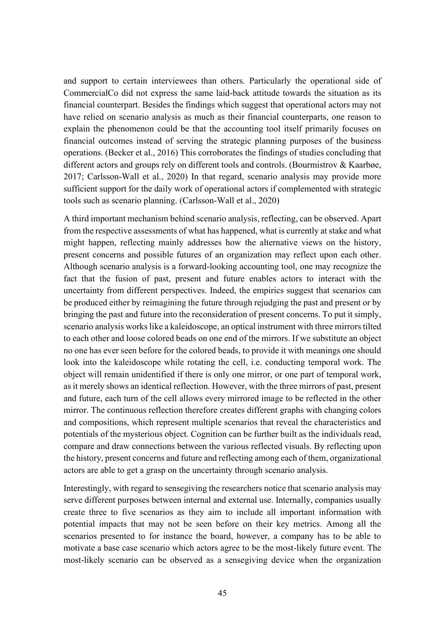and support to certain interviewees than others. Particularly the operational side of CommercialCo did not express the same laid-back attitude towards the situation as its financial counterpart. Besides the findings which suggest that operational actors may not have relied on scenario analysis as much as their financial counterparts, one reason to explain the phenomenon could be that the accounting tool itself primarily focuses on financial outcomes instead of serving the strategic planning purposes of the business operations. (Becker et al., 2016) This corroborates the findings of studies concluding that different actors and groups rely on different tools and controls. (Bourmistrov & Kaarbøe, 2017; Carlsson-Wall et al., 2020) In that regard, scenario analysis may provide more sufficient support for the daily work of operational actors if complemented with strategic tools such as scenario planning. (Carlsson-Wall et al., 2020)

A third important mechanism behind scenario analysis, reflecting, can be observed. Apart from the respective assessments of what has happened, what is currently at stake and what might happen, reflecting mainly addresses how the alternative views on the history, present concerns and possible futures of an organization may reflect upon each other. Although scenario analysis is a forward-looking accounting tool, one may recognize the fact that the fusion of past, present and future enables actors to interact with the uncertainty from different perspectives. Indeed, the empirics suggest that scenarios can be produced either by reimagining the future through rejudging the past and present or by bringing the past and future into the reconsideration of present concerns. To put it simply, scenario analysis works like a kaleidoscope, an optical instrument with three mirrors tilted to each other and loose colored beads on one end of the mirrors. If we substitute an object no one has ever seen before for the colored beads, to provide it with meanings one should look into the kaleidoscope while rotating the cell, i.e. conducting temporal work. The object will remain unidentified if there is only one mirror, or one part of temporal work, as it merely shows an identical reflection. However, with the three mirrors of past, present and future, each turn of the cell allows every mirrored image to be reflected in the other mirror. The continuous reflection therefore creates different graphs with changing colors and compositions, which represent multiple scenarios that reveal the characteristics and potentials of the mysterious object. Cognition can be further built as the individuals read, compare and draw connections between the various reflected visuals. By reflecting upon the history, present concerns and future and reflecting among each of them, organizational actors are able to get a grasp on the uncertainty through scenario analysis.

Interestingly, with regard to sensegiving the researchers notice that scenario analysis may serve different purposes between internal and external use. Internally, companies usually create three to five scenarios as they aim to include all important information with potential impacts that may not be seen before on their key metrics. Among all the scenarios presented to for instance the board, however, a company has to be able to motivate a base case scenario which actors agree to be the most-likely future event. The most-likely scenario can be observed as a sensegiving device when the organization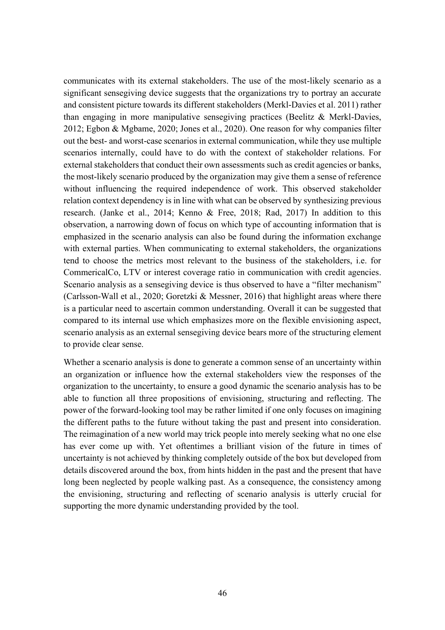communicates with its external stakeholders. The use of the most-likely scenario as a significant sensegiving device suggests that the organizations try to portray an accurate and consistent picture towards its different stakeholders (Merkl‐Davies et al. 2011) rather than engaging in more manipulative sensegiving practices (Beelitz & Merkl-Davies, 2012; Egbon & Mgbame, 2020; Jones et al., 2020). One reason for why companies filter out the best- and worst-case scenarios in external communication, while they use multiple scenarios internally, could have to do with the context of stakeholder relations. For external stakeholders that conduct their own assessments such as credit agencies or banks, the most-likely scenario produced by the organization may give them a sense of reference without influencing the required independence of work. This observed stakeholder relation context dependency is in line with what can be observed by synthesizing previous research. (Janke et al., 2014; Kenno & Free, 2018; Rad, 2017) In addition to this observation, a narrowing down of focus on which type of accounting information that is emphasized in the scenario analysis can also be found during the information exchange with external parties. When communicating to external stakeholders, the organizations tend to choose the metrics most relevant to the business of the stakeholders, i.e. for CommericalCo, LTV or interest coverage ratio in communication with credit agencies. Scenario analysis as a sensegiving device is thus observed to have a "filter mechanism" (Carlsson-Wall et al., 2020; Goretzki & Messner, 2016) that highlight areas where there is a particular need to ascertain common understanding. Overall it can be suggested that compared to its internal use which emphasizes more on the flexible envisioning aspect, scenario analysis as an external sensegiving device bears more of the structuring element to provide clear sense.

Whether a scenario analysis is done to generate a common sense of an uncertainty within an organization or influence how the external stakeholders view the responses of the organization to the uncertainty, to ensure a good dynamic the scenario analysis has to be able to function all three propositions of envisioning, structuring and reflecting. The power of the forward-looking tool may be rather limited if one only focuses on imagining the different paths to the future without taking the past and present into consideration. The reimagination of a new world may trick people into merely seeking what no one else has ever come up with. Yet oftentimes a brilliant vision of the future in times of uncertainty is not achieved by thinking completely outside of the box but developed from details discovered around the box, from hints hidden in the past and the present that have long been neglected by people walking past. As a consequence, the consistency among the envisioning, structuring and reflecting of scenario analysis is utterly crucial for supporting the more dynamic understanding provided by the tool.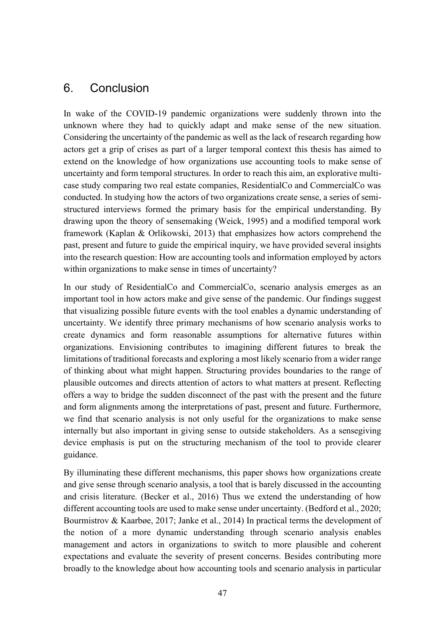# <span id="page-47-0"></span>6. Conclusion

In wake of the COVID-19 pandemic organizations were suddenly thrown into the unknown where they had to quickly adapt and make sense of the new situation. Considering the uncertainty of the pandemic as well as the lack of research regarding how actors get a grip of crises as part of a larger temporal context this thesis has aimed to extend on the knowledge of how organizations use accounting tools to make sense of uncertainty and form temporal structures. In order to reach this aim, an explorative multicase study comparing two real estate companies, ResidentialCo and CommercialCo was conducted. In studying how the actors of two organizations create sense, a series of semistructured interviews formed the primary basis for the empirical understanding. By drawing upon the theory of sensemaking (Weick, 1995) and a modified temporal work framework (Kaplan & Orlikowski, 2013) that emphasizes how actors comprehend the past, present and future to guide the empirical inquiry, we have provided several insights into the research question: How are accounting tools and information employed by actors within organizations to make sense in times of uncertainty?

In our study of ResidentialCo and CommercialCo, scenario analysis emerges as an important tool in how actors make and give sense of the pandemic. Our findings suggest that visualizing possible future events with the tool enables a dynamic understanding of uncertainty. We identify three primary mechanisms of how scenario analysis works to create dynamics and form reasonable assumptions for alternative futures within organizations. Envisioning contributes to imagining different futures to break the limitations of traditional forecasts and exploring a most likely scenario from a wider range of thinking about what might happen. Structuring provides boundaries to the range of plausible outcomes and directs attention of actors to what matters at present. Reflecting offers a way to bridge the sudden disconnect of the past with the present and the future and form alignments among the interpretations of past, present and future. Furthermore, we find that scenario analysis is not only useful for the organizations to make sense internally but also important in giving sense to outside stakeholders. As a sensegiving device emphasis is put on the structuring mechanism of the tool to provide clearer guidance.

By illuminating these different mechanisms, this paper shows how organizations create and give sense through scenario analysis, a tool that is barely discussed in the accounting and crisis literature. (Becker et al., 2016) Thus we extend the understanding of how different accounting tools are used to make sense under uncertainty. (Bedford et al., 2020; Bourmistrov & Kaarbøe, 2017; Janke et al., 2014) In practical terms the development of the notion of a more dynamic understanding through scenario analysis enables management and actors in organizations to switch to more plausible and coherent expectations and evaluate the severity of present concerns. Besides contributing more broadly to the knowledge about how accounting tools and scenario analysis in particular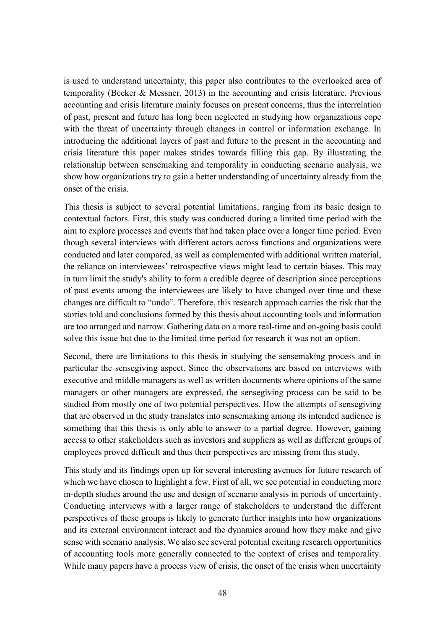is used to understand uncertainty, this paper also contributes to the overlooked area of temporality (Becker & Messner, 2013) in the accounting and crisis literature. Previous accounting and crisis literature mainly focuses on present concerns, thus the interrelation of past, present and future has long been neglected in studying how organizations cope with the threat of uncertainty through changes in control or information exchange. In introducing the additional layers of past and future to the present in the accounting and crisis literature this paper makes strides towards filling this gap. By illustrating the relationship between sensemaking and temporality in conducting scenario analysis, we show how organizations try to gain a better understanding of uncertainty already from the onset of the crisis.

This thesis is subject to several potential limitations, ranging from its basic design to contextual factors. First, this study was conducted during a limited time period with the aim to explore processes and events that had taken place over a longer time period. Even though several interviews with different actors across functions and organizations were conducted and later compared, as well as complemented with additional written material, the reliance on interviewees' retrospective views might lead to certain biases. This may in turn limit the study's ability to form a credible degree of description since perceptions of past events among the interviewees are likely to have changed over time and these changes are difficult to "undo". Therefore, this research approach carries the risk that the stories told and conclusions formed by this thesis about accounting tools and information are too arranged and narrow. Gathering data on a more real-time and on-going basis could solve this issue but due to the limited time period for research it was not an option.

Second, there are limitations to this thesis in studying the sensemaking process and in particular the sensegiving aspect. Since the observations are based on interviews with executive and middle managers as well as written documents where opinions of the same managers or other managers are expressed, the sensegiving process can be said to be studied from mostly one of two potential perspectives. How the attempts of sensegiving that are observed in the study translates into sensemaking among its intended audience is something that this thesis is only able to answer to a partial degree. However, gaining access to other stakeholders such as investors and suppliers as well as different groups of employees proved difficult and thus their perspectives are missing from this study.

This study and its findings open up for several interesting avenues for future research of which we have chosen to highlight a few. First of all, we see potential in conducting more in-depth studies around the use and design of scenario analysis in periods of uncertainty. Conducting interviews with a larger range of stakeholders to understand the different perspectives of these groups is likely to generate further insights into how organizations and its external environment interact and the dynamics around how they make and give sense with scenario analysis. We also see several potential exciting research opportunities of accounting tools more generally connected to the context of crises and temporality. While many papers have a process view of crisis, the onset of the crisis when uncertainty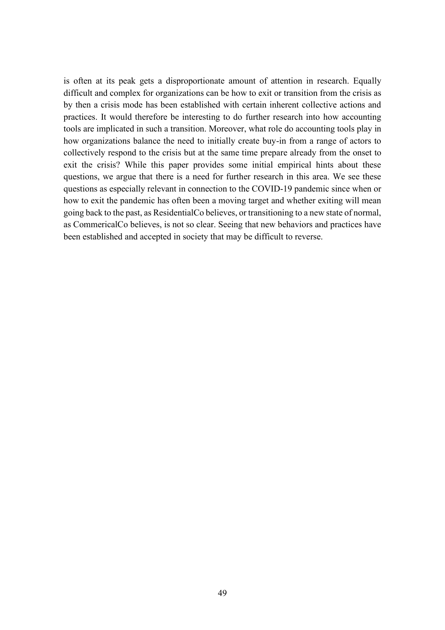is often at its peak gets a disproportionate amount of attention in research. Equally difficult and complex for organizations can be how to exit or transition from the crisis as by then a crisis mode has been established with certain inherent collective actions and practices. It would therefore be interesting to do further research into how accounting tools are implicated in such a transition. Moreover, what role do accounting tools play in how organizations balance the need to initially create buy-in from a range of actors to collectively respond to the crisis but at the same time prepare already from the onset to exit the crisis? While this paper provides some initial empirical hints about these questions, we argue that there is a need for further research in this area. We see these questions as especially relevant in connection to the COVID-19 pandemic since when or how to exit the pandemic has often been a moving target and whether exiting will mean going back to the past, as ResidentialCo believes, or transitioning to a new state of normal, as CommericalCo believes, is not so clear. Seeing that new behaviors and practices have been established and accepted in society that may be difficult to reverse.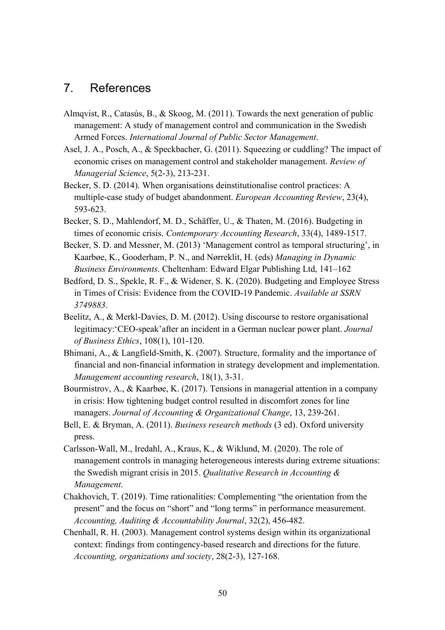# <span id="page-50-0"></span>7. References

- Almqvist, R., Catasús, B., & Skoog, M. (2011). Towards the next generation of public management: A study of management control and communication in the Swedish Armed Forces. *International Journal of Public Sector Management*.
- Asel, J. A., Posch, A., & Speckbacher, G. (2011). Squeezing or cuddling? The impact of economic crises on management control and stakeholder management. *Review of Managerial Science*, 5(2-3), 213-231.
- Becker, S. D. (2014). When organisations deinstitutionalise control practices: A multiple-case study of budget abandonment. *European Accounting Review*, 23(4), 593-623.
- Becker, S. D., Mahlendorf, M. D., Schäffer, U., & Thaten, M. (2016). Budgeting in times of economic crisis. *Contemporary Accounting Research*, 33(4), 1489-1517.
- Becker, S. D. and Messner, M. (2013) 'Management control as temporal structuring', in Kaarbøe, K., Gooderham, P. N., and Nørreklit, H. (eds) *Managing in Dynamic Business Environments*. Cheltenham: Edward Elgar Publishing Ltd, 141–162
- Bedford, D. S., Spekle, R. F., & Widener, S. K. (2020). Budgeting and Employee Stress in Times of Crisis: Evidence from the COVID-19 Pandemic. *Available at SSRN 3749883*.
- Beelitz, A., & Merkl-Davies, D. M. (2012). Using discourse to restore organisational legitimacy:'CEO-speak'after an incident in a German nuclear power plant. *Journal of Business Ethics*, 108(1), 101-120.
- Bhimani, A., & Langfield-Smith, K. (2007). Structure, formality and the importance of financial and non-financial information in strategy development and implementation. *Management accounting research*, 18(1), 3-31.
- Bourmistrov, A., & Kaarbøe, K. (2017). Tensions in managerial attention in a company in crisis: How tightening budget control resulted in discomfort zones for line managers. *Journal of Accounting & Organizational Change*, 13, 239-261.
- Bell, E. & Bryman, A. (2011). *Business research methods* (3 ed). Oxford university press.
- Carlsson-Wall, M., Iredahl, A., Kraus, K., & Wiklund, M. (2020). The role of management controls in managing heterogeneous interests during extreme situations: the Swedish migrant crisis in 2015. *Qualitative Research in Accounting & Management*.
- Chakhovich, T. (2019). Time rationalities: Complementing "the orientation from the present" and the focus on "short" and "long terms" in performance measurement. *Accounting, Auditing & Accountability Journal*, 32(2), 456-482.
- Chenhall, R. H. (2003). Management control systems design within its organizational context: findings from contingency-based research and directions for the future. *Accounting, organizations and society*, 28(2-3), 127-168.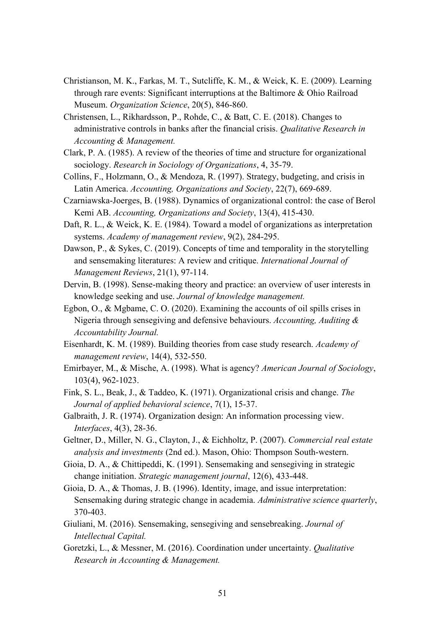- Christianson, M. K., Farkas, M. T., Sutcliffe, K. M., & Weick, K. E. (2009). Learning through rare events: Significant interruptions at the Baltimore & Ohio Railroad Museum. *Organization Science*, 20(5), 846-860.
- Christensen, L., Rikhardsson, P., Rohde, C., & Batt, C. E. (2018). Changes to administrative controls in banks after the financial crisis. *Qualitative Research in Accounting & Management.*
- Clark, P. A. (1985). A review of the theories of time and structure for organizational sociology. *Research in Sociology of Organizations*, 4, 35-79.
- Collins, F., Holzmann, O., & Mendoza, R. (1997). Strategy, budgeting, and crisis in Latin America. *Accounting, Organizations and Society*, 22(7), 669-689.
- Czarniawska-Joerges, B. (1988). Dynamics of organizational control: the case of Berol Kemi AB. *Accounting, Organizations and Society*, 13(4), 415-430.
- Daft, R. L., & Weick, K. E. (1984). Toward a model of organizations as interpretation systems. *Academy of management review*, 9(2), 284-295.
- Dawson, P., & Sykes, C. (2019). Concepts of time and temporality in the storytelling and sensemaking literatures: A review and critique. *International Journal of Management Reviews*, 21(1), 97-114.
- Dervin, B. (1998). Sense-making theory and practice: an overview of user interests in knowledge seeking and use. *Journal of knowledge management.*
- Egbon, O., & Mgbame, C. O. (2020). Examining the accounts of oil spills crises in Nigeria through sensegiving and defensive behaviours. *Accounting, Auditing & Accountability Journal.*
- Eisenhardt, K. M. (1989). Building theories from case study research. *Academy of management review*, 14(4), 532-550.
- Emirbayer, M., & Mische, A. (1998). What is agency? *American Journal of Sociology*, 103(4), 962-1023.
- Fink, S. L., Beak, J., & Taddeo, K. (1971). Organizational crisis and change. *The Journal of applied behavioral science*, 7(1), 15-37.
- Galbraith, J. R. (1974). Organization design: An information processing view. *Interfaces*, 4(3), 28-36.
- Geltner, D., Miller, N. G., Clayton, J., & Eichholtz, P. (2007). *Commercial real estate analysis and investments* (2nd ed.). Mason, Ohio: Thompson South-western.
- Gioia, D. A., & Chittipeddi, K. (1991). Sensemaking and sensegiving in strategic change initiation. *Strategic management journal*, 12(6), 433-448.
- Gioia, D. A., & Thomas, J. B. (1996). Identity, image, and issue interpretation: Sensemaking during strategic change in academia. *Administrative science quarterly*, 370-403.
- Giuliani, M. (2016). Sensemaking, sensegiving and sensebreaking. *Journal of Intellectual Capital.*
- Goretzki, L., & Messner, M. (2016). Coordination under uncertainty. *Qualitative Research in Accounting & Management.*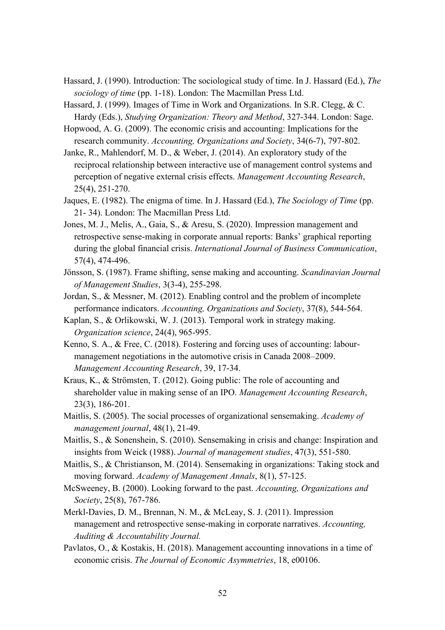- Hassard, J. (1990). Introduction: The sociological study of time. In J. Hassard (Ed.), *The sociology of time* (pp. 1-18). London: The Macmillan Press Ltd.
- Hassard, J. (1999). Images of Time in Work and Organizations. In S.R. Clegg, & C. Hardy (Eds.), *Studying Organization: Theory and Method*, 327-344. London: Sage.
- Hopwood, A. G. (2009). The economic crisis and accounting: Implications for the research community. *Accounting, Organizations and Society*, 34(6-7), 797-802.
- Janke, R., Mahlendorf, M. D., & Weber, J. (2014). An exploratory study of the reciprocal relationship between interactive use of management control systems and perception of negative external crisis effects. *Management Accounting Research*, 25(4), 251-270.
- Jaques, E. (1982). The enigma of time. In J. Hassard (Ed.), *The Sociology of Time* (pp. 21- 34). London: The Macmillan Press Ltd.
- Jones, M. J., Melis, A., Gaia, S., & Aresu, S. (2020). Impression management and retrospective sense-making in corporate annual reports: Banks' graphical reporting during the global financial crisis. *International Journal of Business Communication*, 57(4), 474-496.
- Jönsson, S. (1987). Frame shifting, sense making and accounting. *Scandinavian Journal of Management Studies*, 3(3-4), 255-298.
- Jordan, S., & Messner, M. (2012). Enabling control and the problem of incomplete performance indicators. *Accounting, Organizations and Society*, 37(8), 544-564.
- Kaplan, S., & Orlikowski, W. J. (2013). Temporal work in strategy making. *Organization science*, 24(4), 965-995.
- Kenno, S. A., & Free, C. (2018). Fostering and forcing uses of accounting: labourmanagement negotiations in the automotive crisis in Canada 2008–2009. *Management Accounting Research*, 39, 17-34.
- Kraus, K., & Strömsten, T. (2012). Going public: The role of accounting and shareholder value in making sense of an IPO. *Management Accounting Research*, 23(3), 186-201.
- Maitlis, S. (2005). The social processes of organizational sensemaking. *Academy of management journal*, 48(1), 21-49.
- Maitlis, S., & Sonenshein, S. (2010). Sensemaking in crisis and change: Inspiration and insights from Weick (1988). *Journal of management studies*, 47(3), 551-580.
- Maitlis, S., & Christianson, M. (2014). Sensemaking in organizations: Taking stock and moving forward. *Academy of Management Annals*, 8(1), 57-125.
- McSweeney, B. (2000). Looking forward to the past. *Accounting, Organizations and Society*, 25(8), 767-786.
- Merkl-Davies, D. M., Brennan, N. M., & McLeay, S. J. (2011). Impression management and retrospective sense-making in corporate narratives. *Accounting*, *Auditing & Accountability Journal.*
- Pavlatos, O., & Kostakis, H. (2018). Management accounting innovations in a time of economic crisis. *The Journal of Economic Asymmetries*, 18, e00106.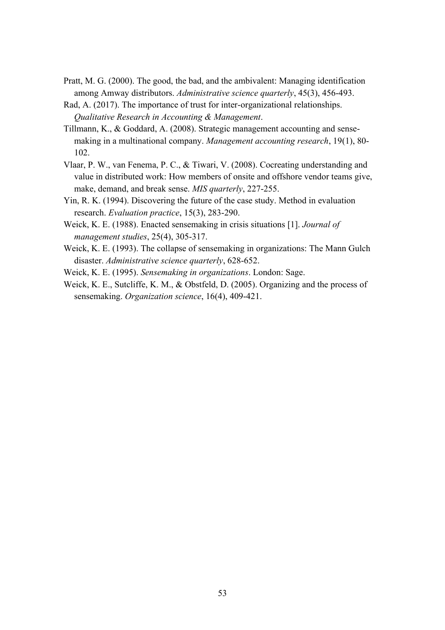- Pratt, M. G. (2000). The good, the bad, and the ambivalent: Managing identification among Amway distributors. *Administrative science quarterly*, 45(3), 456-493.
- Rad, A. (2017). The importance of trust for inter-organizational relationships. *Qualitative Research in Accounting & Management*.
- Tillmann, K., & Goddard, A. (2008). Strategic management accounting and sensemaking in a multinational company. *Management accounting research*, 19(1), 80- 102.
- Vlaar, P. W., van Fenema, P. C., & Tiwari, V. (2008). Cocreating understanding and value in distributed work: How members of onsite and offshore vendor teams give, make, demand, and break sense. *MIS quarterly*, 227-255.
- Yin, R. K. (1994). Discovering the future of the case study. Method in evaluation research. *Evaluation practice*, 15(3), 283-290.
- Weick, K. E. (1988). Enacted sensemaking in crisis situations [1]. *Journal of management studies*, 25(4), 305-317.
- Weick, K. E. (1993). The collapse of sensemaking in organizations: The Mann Gulch disaster. *Administrative science quarterly*, 628-652.
- Weick, K. E. (1995). *Sensemaking in organizations*. London: Sage.
- Weick, K. E., Sutcliffe, K. M., & Obstfeld, D. (2005). Organizing and the process of sensemaking. *Organization science*, 16(4), 409-421.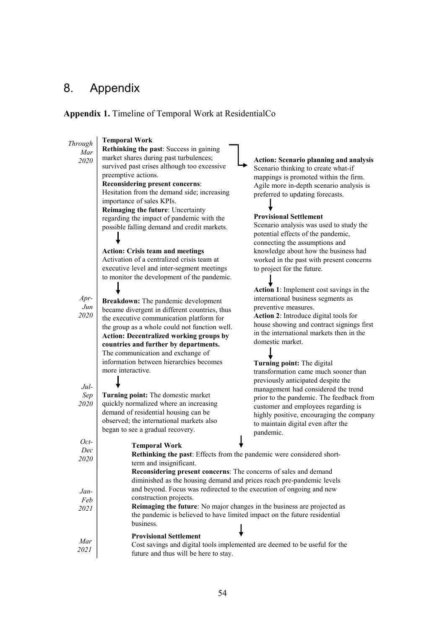# <span id="page-54-0"></span>8. Appendix

# **Appendix 1.** Timeline of Temporal Work at ResidentialCo

| Through    | <b>Temporal Work</b>                                                                                                                                 |                                                                               |  |  |
|------------|------------------------------------------------------------------------------------------------------------------------------------------------------|-------------------------------------------------------------------------------|--|--|
| Mar        | Rethinking the past: Success in gaining                                                                                                              |                                                                               |  |  |
| 2020       | market shares during past turbulences;                                                                                                               | <b>Action: Scenario planning and analysis</b>                                 |  |  |
|            | survived past crises although too excessive                                                                                                          | Scenario thinking to create what-if                                           |  |  |
|            | preemptive actions.                                                                                                                                  | mappings is promoted within the firm.                                         |  |  |
|            | <b>Reconsidering present concerns:</b>                                                                                                               | Agile more in-depth scenario analysis is                                      |  |  |
|            | Hesitation from the demand side; increasing                                                                                                          | preferred to updating forecasts.                                              |  |  |
|            | importance of sales KPIs.                                                                                                                            |                                                                               |  |  |
|            | Reimaging the future: Uncertainty                                                                                                                    |                                                                               |  |  |
|            | regarding the impact of pandemic with the                                                                                                            | <b>Provisional Settlement</b>                                                 |  |  |
|            | possible falling demand and credit markets.                                                                                                          | Scenario analysis was used to study the<br>potential effects of the pandemic, |  |  |
|            |                                                                                                                                                      | connecting the assumptions and                                                |  |  |
|            | <b>Action: Crisis team and meetings</b>                                                                                                              | knowledge about how the business had                                          |  |  |
|            | Activation of a centralized crisis team at                                                                                                           | worked in the past with present concerns                                      |  |  |
|            | executive level and inter-segment meetings                                                                                                           | to project for the future.                                                    |  |  |
|            | to monitor the development of the pandemic.                                                                                                          |                                                                               |  |  |
|            |                                                                                                                                                      | Action 1: Implement cost savings in the                                       |  |  |
| $Apr-$     |                                                                                                                                                      | international business segments as                                            |  |  |
| $\it{Jun}$ | Breakdown: The pandemic development                                                                                                                  | preventive measures.                                                          |  |  |
| 2020       | became divergent in different countries, thus                                                                                                        | Action 2: Introduce digital tools for                                         |  |  |
|            | the executive communication platform for                                                                                                             | house showing and contract signings first                                     |  |  |
|            | the group as a whole could not function well.<br><b>Action: Decentralized working groups by</b>                                                      | in the international markets then in the                                      |  |  |
|            | countries and further by departments.                                                                                                                | domestic market.                                                              |  |  |
|            | The communication and exchange of                                                                                                                    |                                                                               |  |  |
|            | information between hierarchies becomes                                                                                                              | Turning point: The digital                                                    |  |  |
|            | more interactive.                                                                                                                                    | transformation came much sooner than                                          |  |  |
|            |                                                                                                                                                      | previously anticipated despite the                                            |  |  |
| Jul-       |                                                                                                                                                      | management had considered the trend                                           |  |  |
| Sep        | Turning point: The domestic market                                                                                                                   | prior to the pandemic. The feedback from                                      |  |  |
| 2020       | quickly normalized where an increasing                                                                                                               | customer and employees regarding is                                           |  |  |
|            | demand of residential housing can be                                                                                                                 | highly positive, encouraging the company                                      |  |  |
|            | observed; the international markets also                                                                                                             | to maintain digital even after the                                            |  |  |
|            | began to see a gradual recovery.                                                                                                                     | pandemic.                                                                     |  |  |
| Oct-       | <b>Temporal Work</b>                                                                                                                                 |                                                                               |  |  |
| Dec        | Rethinking the past: Effects from the pandemic were considered short-                                                                                |                                                                               |  |  |
| 2020       | term and insignificant.                                                                                                                              |                                                                               |  |  |
|            | Reconsidering present concerns: The concerns of sales and demand                                                                                     |                                                                               |  |  |
|            | diminished as the housing demand and prices reach pre-pandemic levels                                                                                |                                                                               |  |  |
| Jan-       | and beyond. Focus was redirected to the execution of ongoing and new                                                                                 |                                                                               |  |  |
| Feb        | construction projects.                                                                                                                               |                                                                               |  |  |
| 2021       | Reimaging the future: No major changes in the business are projected as<br>the pandemic is believed to have limited impact on the future residential |                                                                               |  |  |
|            |                                                                                                                                                      |                                                                               |  |  |
|            | business.                                                                                                                                            |                                                                               |  |  |
|            | <b>Provisional Settlement</b><br>Cost savings and digital tools implemented are deemed to be useful for the<br>future and thus will be here to stay. |                                                                               |  |  |
| Mar        |                                                                                                                                                      |                                                                               |  |  |
| 2021       |                                                                                                                                                      |                                                                               |  |  |